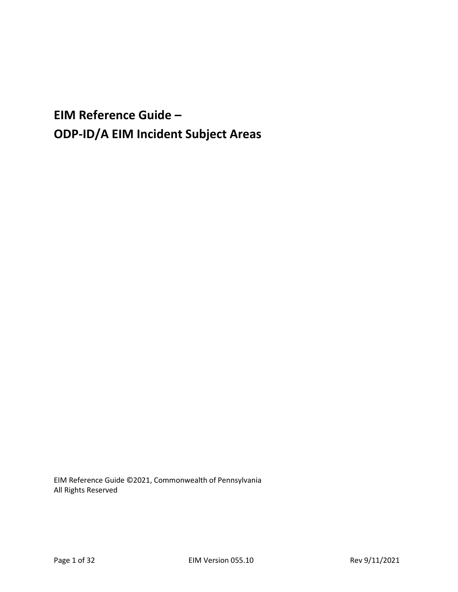**EIM Reference Guide – ODP-ID/A EIM Incident Subject Areas**

EIM Reference Guide ©2021, Commonwealth of Pennsylvania All Rights Reserved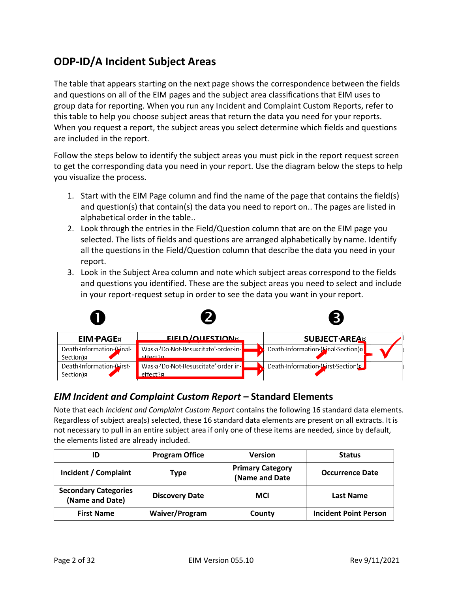## **ODP-ID/A Incident Subject Areas**

The table that appears starting on the next page shows the correspondence between the fields and questions on all of the EIM pages and the subject area classifications that EIM uses to group data for reporting. When you run any Incident and Complaint Custom Reports, refer to this table to help you choose subject areas that return the data you need for your reports. When you request a report, the subject areas you select determine which fields and questions are included in the report.

Follow the steps below to identify the subject areas you must pick in the report request screen to get the corresponding data you need in your report. Use the diagram below the steps to help you visualize the process.

- 1. Start with the EIM Page column and find the name of the page that contains the field(s) and question(s) that contain(s) the data you need to report on.. The pages are listed in alphabetical order in the table..
- 2. Look through the entries in the Field/Question column that are on the EIM page you selected. The lists of fields and questions are arranged alphabetically by name. Identify all the questions in the Field/Question column that describe the data you need in your report.
- 3. Look in the Subject Area column and note which subject areas correspond to the fields and questions you identified. These are the subject areas you need to select and include in your report-request setup in order to see the data you want in your report.

|                                                   |                                                 | $\left[3\right]$                    |  |
|---------------------------------------------------|-------------------------------------------------|-------------------------------------|--|
| <b>EIM-PAGE</b> <sub>R</sub>                      | <b>FIFLD/OUFSTION8</b>                          | <b>SUBJECT</b> AREA                 |  |
| Death Information (Final<br>Section) <sub>¤</sub> | Was a 'Do Not Resuscitate' order in<br>affact?n | Death Information (Final Section) x |  |
| Death Information Lirst<br>Section) <sub>R</sub>  | Was a 'Do Not Resuscitate' order in<br>effect?¤ | Death Information (First Section)   |  |

## *EIM Incident and Complaint Custom Report* **– Standard Elements**

Note that each *Incident and Complaint Custom Report* contains the following 16 standard data elements. Regardless of subject area(s) selected, these 16 standard data elements are present on all extracts. It is not necessary to pull in an entire subject area if only one of these items are needed, since by default, the elements listed are already included.

| ID                                             | <b>Program Office</b> | <b>Version</b>                            | <b>Status</b>                |
|------------------------------------------------|-----------------------|-------------------------------------------|------------------------------|
| Incident / Complaint                           | Type                  | <b>Primary Category</b><br>(Name and Date | <b>Occurrence Date</b>       |
| <b>Secondary Categories</b><br>(Name and Date) | <b>Discovery Date</b> | <b>MCI</b>                                | <b>Last Name</b>             |
| <b>First Name</b>                              | <b>Waiver/Program</b> | County                                    | <b>Incident Point Person</b> |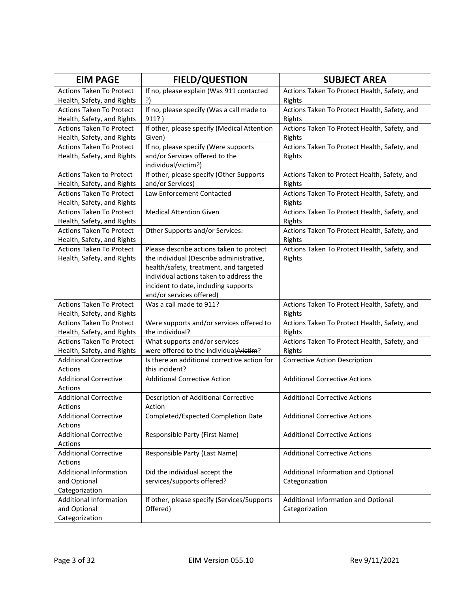| <b>EIM PAGE</b>                         | <b>FIELD/QUESTION</b>                        | <b>SUBJECT AREA</b>                          |
|-----------------------------------------|----------------------------------------------|----------------------------------------------|
| <b>Actions Taken To Protect</b>         | If no, please explain (Was 911 contacted     | Actions Taken To Protect Health, Safety, and |
| Health, Safety, and Rights              | ?)                                           | Rights                                       |
| <b>Actions Taken To Protect</b>         | If no, please specify (Was a call made to    | Actions Taken To Protect Health, Safety, and |
| Health, Safety, and Rights              | 911?)                                        | Rights                                       |
| <b>Actions Taken To Protect</b>         | If other, please specify (Medical Attention  | Actions Taken To Protect Health, Safety, and |
| Health, Safety, and Rights              | Given)                                       | Rights                                       |
| <b>Actions Taken To Protect</b>         | If no, please specify (Were supports         | Actions Taken To Protect Health, Safety, and |
| Health, Safety, and Rights              | and/or Services offered to the               | Rights                                       |
|                                         | individual/victim?)                          |                                              |
| <b>Actions Taken to Protect</b>         | If other, please specify (Other Supports     | Actions Taken to Protect Health, Safety, and |
| Health, Safety, and Rights              | and/or Services)                             | Rights                                       |
| <b>Actions Taken To Protect</b>         | Law Enforcement Contacted                    | Actions Taken To Protect Health, Safety, and |
| Health, Safety, and Rights              |                                              | Rights                                       |
| <b>Actions Taken To Protect</b>         | <b>Medical Attention Given</b>               | Actions Taken To Protect Health, Safety, and |
| Health, Safety, and Rights              |                                              | Rights                                       |
| <b>Actions Taken To Protect</b>         | Other Supports and/or Services:              | Actions Taken To Protect Health, Safety, and |
| Health, Safety, and Rights              |                                              | Rights                                       |
| <b>Actions Taken To Protect</b>         | Please describe actions taken to protect     | Actions Taken To Protect Health, Safety, and |
| Health, Safety, and Rights              | the individual (Describe administrative,     | Rights                                       |
|                                         | health/safety, treatment, and targeted       |                                              |
|                                         | individual actions taken to address the      |                                              |
|                                         | incident to date, including supports         |                                              |
|                                         | and/or services offered)                     |                                              |
| <b>Actions Taken To Protect</b>         | Was a call made to 911?                      | Actions Taken To Protect Health, Safety, and |
| Health, Safety, and Rights              |                                              | Rights                                       |
| <b>Actions Taken To Protect</b>         | Were supports and/or services offered to     | Actions Taken To Protect Health, Safety, and |
| Health, Safety, and Rights              | the individual?                              | Rights                                       |
| <b>Actions Taken To Protect</b>         | What supports and/or services                | Actions Taken To Protect Health, Safety, and |
| Health, Safety, and Rights              | were offered to the individual/victim?       | Rights                                       |
| <b>Additional Corrective</b>            | Is there an additional corrective action for | <b>Corrective Action Description</b>         |
| Actions                                 | this incident?                               |                                              |
| <b>Additional Corrective</b>            | <b>Additional Corrective Action</b>          | <b>Additional Corrective Actions</b>         |
| Actions                                 |                                              |                                              |
| <b>Additional Corrective</b>            | Description of Additional Corrective         | <b>Additional Corrective Actions</b>         |
| Actions                                 | Action<br>Completed/Expected Completion Date | <b>Additional Corrective Actions</b>         |
| <b>Additional Corrective</b>            |                                              |                                              |
| Actions<br><b>Additional Corrective</b> |                                              |                                              |
| Actions                                 | Responsible Party (First Name)               | <b>Additional Corrective Actions</b>         |
| <b>Additional Corrective</b>            | Responsible Party (Last Name)                | <b>Additional Corrective Actions</b>         |
| Actions                                 |                                              |                                              |
| <b>Additional Information</b>           | Did the individual accept the                | Additional Information and Optional          |
| and Optional                            | services/supports offered?                   | Categorization                               |
| Categorization                          |                                              |                                              |
| <b>Additional Information</b>           | If other, please specify (Services/Supports  | Additional Information and Optional          |
| and Optional                            | Offered)                                     | Categorization                               |
| Categorization                          |                                              |                                              |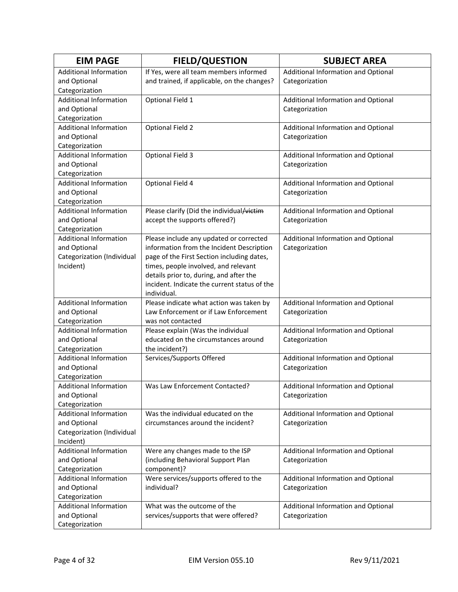| <b>EIM PAGE</b>                                 | <b>FIELD/QUESTION</b>                        | <b>SUBJECT AREA</b>                 |
|-------------------------------------------------|----------------------------------------------|-------------------------------------|
| <b>Additional Information</b>                   | If Yes, were all team members informed       | Additional Information and Optional |
| and Optional                                    | and trained, if applicable, on the changes?  | Categorization                      |
| Categorization                                  |                                              |                                     |
| <b>Additional Information</b>                   | Optional Field 1                             | Additional Information and Optional |
| and Optional                                    |                                              | Categorization                      |
| Categorization                                  |                                              |                                     |
| <b>Additional Information</b>                   | <b>Optional Field 2</b>                      | Additional Information and Optional |
| and Optional                                    |                                              | Categorization                      |
| Categorization                                  |                                              |                                     |
| <b>Additional Information</b>                   | <b>Optional Field 3</b>                      | Additional Information and Optional |
| and Optional                                    |                                              | Categorization                      |
| Categorization                                  |                                              |                                     |
| <b>Additional Information</b>                   | Optional Field 4                             | Additional Information and Optional |
| and Optional                                    |                                              | Categorization                      |
| Categorization                                  |                                              |                                     |
| <b>Additional Information</b>                   | Please clarify (Did the individual/victim    | Additional Information and Optional |
| and Optional                                    | accept the supports offered?)                | Categorization                      |
| Categorization                                  |                                              |                                     |
| <b>Additional Information</b>                   | Please include any updated or corrected      | Additional Information and Optional |
| and Optional                                    | information from the Incident Description    | Categorization                      |
| Categorization (Individual                      | page of the First Section including dates,   |                                     |
| Incident)                                       | times, people involved, and relevant         |                                     |
|                                                 | details prior to, during, and after the      |                                     |
|                                                 | incident. Indicate the current status of the |                                     |
|                                                 | individual.                                  |                                     |
| <b>Additional Information</b>                   | Please indicate what action was taken by     | Additional Information and Optional |
| and Optional                                    | Law Enforcement or if Law Enforcement        | Categorization                      |
| Categorization                                  | was not contacted                            |                                     |
| <b>Additional Information</b>                   | Please explain (Was the individual           | Additional Information and Optional |
| and Optional                                    | educated on the circumstances around         | Categorization                      |
| Categorization<br><b>Additional Information</b> | the incident?)                               |                                     |
| and Optional                                    | Services/Supports Offered                    | Additional Information and Optional |
| Categorization                                  |                                              | Categorization                      |
| Additional Information                          | Was Law Enforcement Contacted?               | Additional Information and Optional |
| and Optional                                    |                                              | Categorization                      |
| Categorization                                  |                                              |                                     |
| <b>Additional Information</b>                   | Was the individual educated on the           | Additional Information and Optional |
| and Optional                                    | circumstances around the incident?           | Categorization                      |
| Categorization (Individual                      |                                              |                                     |
| Incident)                                       |                                              |                                     |
| <b>Additional Information</b>                   | Were any changes made to the ISP             | Additional Information and Optional |
| and Optional                                    | (including Behavioral Support Plan           | Categorization                      |
| Categorization                                  | component)?                                  |                                     |
| <b>Additional Information</b>                   | Were services/supports offered to the        | Additional Information and Optional |
| and Optional                                    | individual?                                  | Categorization                      |
| Categorization                                  |                                              |                                     |
| <b>Additional Information</b>                   | What was the outcome of the                  | Additional Information and Optional |
| and Optional                                    | services/supports that were offered?         | Categorization                      |
| Categorization                                  |                                              |                                     |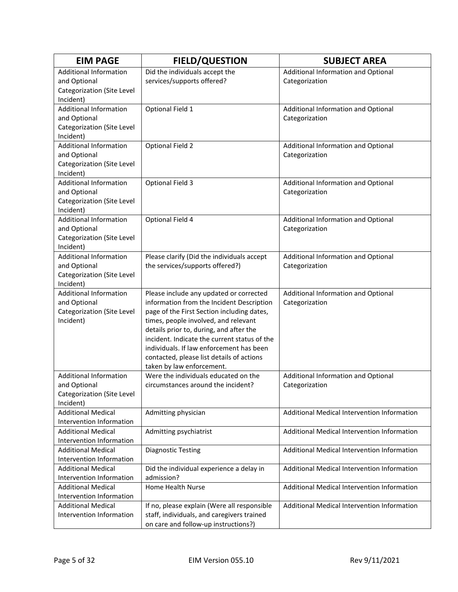| Did the individuals accept the<br><b>Additional Information</b><br>Additional Information and Optional<br>services/supports offered?<br>and Optional<br>Categorization<br>Categorization (Site Level<br>Incident)<br><b>Additional Information</b><br>Optional Field 1<br>Additional Information and Optional<br>and Optional<br>Categorization<br>Categorization (Site Level<br>Incident)<br><b>Additional Information</b><br><b>Optional Field 2</b><br>Additional Information and Optional<br>and Optional<br>Categorization<br>Categorization (Site Level<br>Incident)<br><b>Additional Information</b><br><b>Optional Field 3</b><br>Additional Information and Optional<br>Categorization<br>and Optional<br>Categorization (Site Level<br>Incident)<br><b>Additional Information</b><br>Optional Field 4<br>Additional Information and Optional<br>and Optional<br>Categorization<br>Categorization (Site Level<br>Incident)<br><b>Additional Information</b><br>Please clarify (Did the individuals accept<br>Additional Information and Optional<br>the services/supports offered?)<br>and Optional<br>Categorization<br>Categorization (Site Level<br>Incident)<br><b>Additional Information</b><br>Please include any updated or corrected<br>Additional Information and Optional<br>information from the Incident Description<br>and Optional<br>Categorization<br>Categorization (Site Level<br>page of the First Section including dates,<br>times, people involved, and relevant<br>Incident)<br>details prior to, during, and after the<br>incident. Indicate the current status of the<br>individuals. If law enforcement has been<br>contacted, please list details of actions<br>taken by law enforcement.<br><b>Additional Information</b><br>Were the individuals educated on the<br>Additional Information and Optional<br>and Optional<br>circumstances around the incident?<br>Categorization<br>Categorization (Site Level<br>Incident)<br><b>Additional Medical</b><br>Admitting physician<br>Additional Medical Intervention Information<br>Intervention Information<br><b>Additional Medical</b><br>Admitting psychiatrist<br>Additional Medical Intervention Information<br>Intervention Information<br><b>Additional Medical</b><br><b>Diagnostic Testing</b><br>Additional Medical Intervention Information<br>Intervention Information<br><b>Additional Medical</b><br>Did the individual experience a delay in<br>Additional Medical Intervention Information<br>Intervention Information<br>admission?<br><b>Additional Medical</b><br><b>Home Health Nurse</b><br>Additional Medical Intervention Information | <b>EIM PAGE</b> | <b>FIELD/QUESTION</b> | <b>SUBJECT AREA</b> |
|--------------------------------------------------------------------------------------------------------------------------------------------------------------------------------------------------------------------------------------------------------------------------------------------------------------------------------------------------------------------------------------------------------------------------------------------------------------------------------------------------------------------------------------------------------------------------------------------------------------------------------------------------------------------------------------------------------------------------------------------------------------------------------------------------------------------------------------------------------------------------------------------------------------------------------------------------------------------------------------------------------------------------------------------------------------------------------------------------------------------------------------------------------------------------------------------------------------------------------------------------------------------------------------------------------------------------------------------------------------------------------------------------------------------------------------------------------------------------------------------------------------------------------------------------------------------------------------------------------------------------------------------------------------------------------------------------------------------------------------------------------------------------------------------------------------------------------------------------------------------------------------------------------------------------------------------------------------------------------------------------------------------------------------------------------------------------------------------------------------------------------------------------------------------------------------------------------------------------------------------------------------------------------------------------------------------------------------------------------------------------------------------------------------------------------------------------------------------------------------------------------------------------------------------------------------------------------------------------------------------------------------------------|-----------------|-----------------------|---------------------|
|                                                                                                                                                                                                                                                                                                                                                                                                                                                                                                                                                                                                                                                                                                                                                                                                                                                                                                                                                                                                                                                                                                                                                                                                                                                                                                                                                                                                                                                                                                                                                                                                                                                                                                                                                                                                                                                                                                                                                                                                                                                                                                                                                                                                                                                                                                                                                                                                                                                                                                                                                                                                                                                  |                 |                       |                     |
|                                                                                                                                                                                                                                                                                                                                                                                                                                                                                                                                                                                                                                                                                                                                                                                                                                                                                                                                                                                                                                                                                                                                                                                                                                                                                                                                                                                                                                                                                                                                                                                                                                                                                                                                                                                                                                                                                                                                                                                                                                                                                                                                                                                                                                                                                                                                                                                                                                                                                                                                                                                                                                                  |                 |                       |                     |
|                                                                                                                                                                                                                                                                                                                                                                                                                                                                                                                                                                                                                                                                                                                                                                                                                                                                                                                                                                                                                                                                                                                                                                                                                                                                                                                                                                                                                                                                                                                                                                                                                                                                                                                                                                                                                                                                                                                                                                                                                                                                                                                                                                                                                                                                                                                                                                                                                                                                                                                                                                                                                                                  |                 |                       |                     |
|                                                                                                                                                                                                                                                                                                                                                                                                                                                                                                                                                                                                                                                                                                                                                                                                                                                                                                                                                                                                                                                                                                                                                                                                                                                                                                                                                                                                                                                                                                                                                                                                                                                                                                                                                                                                                                                                                                                                                                                                                                                                                                                                                                                                                                                                                                                                                                                                                                                                                                                                                                                                                                                  |                 |                       |                     |
|                                                                                                                                                                                                                                                                                                                                                                                                                                                                                                                                                                                                                                                                                                                                                                                                                                                                                                                                                                                                                                                                                                                                                                                                                                                                                                                                                                                                                                                                                                                                                                                                                                                                                                                                                                                                                                                                                                                                                                                                                                                                                                                                                                                                                                                                                                                                                                                                                                                                                                                                                                                                                                                  |                 |                       |                     |
|                                                                                                                                                                                                                                                                                                                                                                                                                                                                                                                                                                                                                                                                                                                                                                                                                                                                                                                                                                                                                                                                                                                                                                                                                                                                                                                                                                                                                                                                                                                                                                                                                                                                                                                                                                                                                                                                                                                                                                                                                                                                                                                                                                                                                                                                                                                                                                                                                                                                                                                                                                                                                                                  |                 |                       |                     |
|                                                                                                                                                                                                                                                                                                                                                                                                                                                                                                                                                                                                                                                                                                                                                                                                                                                                                                                                                                                                                                                                                                                                                                                                                                                                                                                                                                                                                                                                                                                                                                                                                                                                                                                                                                                                                                                                                                                                                                                                                                                                                                                                                                                                                                                                                                                                                                                                                                                                                                                                                                                                                                                  |                 |                       |                     |
|                                                                                                                                                                                                                                                                                                                                                                                                                                                                                                                                                                                                                                                                                                                                                                                                                                                                                                                                                                                                                                                                                                                                                                                                                                                                                                                                                                                                                                                                                                                                                                                                                                                                                                                                                                                                                                                                                                                                                                                                                                                                                                                                                                                                                                                                                                                                                                                                                                                                                                                                                                                                                                                  |                 |                       |                     |
|                                                                                                                                                                                                                                                                                                                                                                                                                                                                                                                                                                                                                                                                                                                                                                                                                                                                                                                                                                                                                                                                                                                                                                                                                                                                                                                                                                                                                                                                                                                                                                                                                                                                                                                                                                                                                                                                                                                                                                                                                                                                                                                                                                                                                                                                                                                                                                                                                                                                                                                                                                                                                                                  |                 |                       |                     |
|                                                                                                                                                                                                                                                                                                                                                                                                                                                                                                                                                                                                                                                                                                                                                                                                                                                                                                                                                                                                                                                                                                                                                                                                                                                                                                                                                                                                                                                                                                                                                                                                                                                                                                                                                                                                                                                                                                                                                                                                                                                                                                                                                                                                                                                                                                                                                                                                                                                                                                                                                                                                                                                  |                 |                       |                     |
|                                                                                                                                                                                                                                                                                                                                                                                                                                                                                                                                                                                                                                                                                                                                                                                                                                                                                                                                                                                                                                                                                                                                                                                                                                                                                                                                                                                                                                                                                                                                                                                                                                                                                                                                                                                                                                                                                                                                                                                                                                                                                                                                                                                                                                                                                                                                                                                                                                                                                                                                                                                                                                                  |                 |                       |                     |
|                                                                                                                                                                                                                                                                                                                                                                                                                                                                                                                                                                                                                                                                                                                                                                                                                                                                                                                                                                                                                                                                                                                                                                                                                                                                                                                                                                                                                                                                                                                                                                                                                                                                                                                                                                                                                                                                                                                                                                                                                                                                                                                                                                                                                                                                                                                                                                                                                                                                                                                                                                                                                                                  |                 |                       |                     |
|                                                                                                                                                                                                                                                                                                                                                                                                                                                                                                                                                                                                                                                                                                                                                                                                                                                                                                                                                                                                                                                                                                                                                                                                                                                                                                                                                                                                                                                                                                                                                                                                                                                                                                                                                                                                                                                                                                                                                                                                                                                                                                                                                                                                                                                                                                                                                                                                                                                                                                                                                                                                                                                  |                 |                       |                     |
|                                                                                                                                                                                                                                                                                                                                                                                                                                                                                                                                                                                                                                                                                                                                                                                                                                                                                                                                                                                                                                                                                                                                                                                                                                                                                                                                                                                                                                                                                                                                                                                                                                                                                                                                                                                                                                                                                                                                                                                                                                                                                                                                                                                                                                                                                                                                                                                                                                                                                                                                                                                                                                                  |                 |                       |                     |
|                                                                                                                                                                                                                                                                                                                                                                                                                                                                                                                                                                                                                                                                                                                                                                                                                                                                                                                                                                                                                                                                                                                                                                                                                                                                                                                                                                                                                                                                                                                                                                                                                                                                                                                                                                                                                                                                                                                                                                                                                                                                                                                                                                                                                                                                                                                                                                                                                                                                                                                                                                                                                                                  |                 |                       |                     |
|                                                                                                                                                                                                                                                                                                                                                                                                                                                                                                                                                                                                                                                                                                                                                                                                                                                                                                                                                                                                                                                                                                                                                                                                                                                                                                                                                                                                                                                                                                                                                                                                                                                                                                                                                                                                                                                                                                                                                                                                                                                                                                                                                                                                                                                                                                                                                                                                                                                                                                                                                                                                                                                  |                 |                       |                     |
|                                                                                                                                                                                                                                                                                                                                                                                                                                                                                                                                                                                                                                                                                                                                                                                                                                                                                                                                                                                                                                                                                                                                                                                                                                                                                                                                                                                                                                                                                                                                                                                                                                                                                                                                                                                                                                                                                                                                                                                                                                                                                                                                                                                                                                                                                                                                                                                                                                                                                                                                                                                                                                                  |                 |                       |                     |
|                                                                                                                                                                                                                                                                                                                                                                                                                                                                                                                                                                                                                                                                                                                                                                                                                                                                                                                                                                                                                                                                                                                                                                                                                                                                                                                                                                                                                                                                                                                                                                                                                                                                                                                                                                                                                                                                                                                                                                                                                                                                                                                                                                                                                                                                                                                                                                                                                                                                                                                                                                                                                                                  |                 |                       |                     |
|                                                                                                                                                                                                                                                                                                                                                                                                                                                                                                                                                                                                                                                                                                                                                                                                                                                                                                                                                                                                                                                                                                                                                                                                                                                                                                                                                                                                                                                                                                                                                                                                                                                                                                                                                                                                                                                                                                                                                                                                                                                                                                                                                                                                                                                                                                                                                                                                                                                                                                                                                                                                                                                  |                 |                       |                     |
|                                                                                                                                                                                                                                                                                                                                                                                                                                                                                                                                                                                                                                                                                                                                                                                                                                                                                                                                                                                                                                                                                                                                                                                                                                                                                                                                                                                                                                                                                                                                                                                                                                                                                                                                                                                                                                                                                                                                                                                                                                                                                                                                                                                                                                                                                                                                                                                                                                                                                                                                                                                                                                                  |                 |                       |                     |
|                                                                                                                                                                                                                                                                                                                                                                                                                                                                                                                                                                                                                                                                                                                                                                                                                                                                                                                                                                                                                                                                                                                                                                                                                                                                                                                                                                                                                                                                                                                                                                                                                                                                                                                                                                                                                                                                                                                                                                                                                                                                                                                                                                                                                                                                                                                                                                                                                                                                                                                                                                                                                                                  |                 |                       |                     |
|                                                                                                                                                                                                                                                                                                                                                                                                                                                                                                                                                                                                                                                                                                                                                                                                                                                                                                                                                                                                                                                                                                                                                                                                                                                                                                                                                                                                                                                                                                                                                                                                                                                                                                                                                                                                                                                                                                                                                                                                                                                                                                                                                                                                                                                                                                                                                                                                                                                                                                                                                                                                                                                  |                 |                       |                     |
|                                                                                                                                                                                                                                                                                                                                                                                                                                                                                                                                                                                                                                                                                                                                                                                                                                                                                                                                                                                                                                                                                                                                                                                                                                                                                                                                                                                                                                                                                                                                                                                                                                                                                                                                                                                                                                                                                                                                                                                                                                                                                                                                                                                                                                                                                                                                                                                                                                                                                                                                                                                                                                                  |                 |                       |                     |
|                                                                                                                                                                                                                                                                                                                                                                                                                                                                                                                                                                                                                                                                                                                                                                                                                                                                                                                                                                                                                                                                                                                                                                                                                                                                                                                                                                                                                                                                                                                                                                                                                                                                                                                                                                                                                                                                                                                                                                                                                                                                                                                                                                                                                                                                                                                                                                                                                                                                                                                                                                                                                                                  |                 |                       |                     |
|                                                                                                                                                                                                                                                                                                                                                                                                                                                                                                                                                                                                                                                                                                                                                                                                                                                                                                                                                                                                                                                                                                                                                                                                                                                                                                                                                                                                                                                                                                                                                                                                                                                                                                                                                                                                                                                                                                                                                                                                                                                                                                                                                                                                                                                                                                                                                                                                                                                                                                                                                                                                                                                  |                 |                       |                     |
|                                                                                                                                                                                                                                                                                                                                                                                                                                                                                                                                                                                                                                                                                                                                                                                                                                                                                                                                                                                                                                                                                                                                                                                                                                                                                                                                                                                                                                                                                                                                                                                                                                                                                                                                                                                                                                                                                                                                                                                                                                                                                                                                                                                                                                                                                                                                                                                                                                                                                                                                                                                                                                                  |                 |                       |                     |
|                                                                                                                                                                                                                                                                                                                                                                                                                                                                                                                                                                                                                                                                                                                                                                                                                                                                                                                                                                                                                                                                                                                                                                                                                                                                                                                                                                                                                                                                                                                                                                                                                                                                                                                                                                                                                                                                                                                                                                                                                                                                                                                                                                                                                                                                                                                                                                                                                                                                                                                                                                                                                                                  |                 |                       |                     |
|                                                                                                                                                                                                                                                                                                                                                                                                                                                                                                                                                                                                                                                                                                                                                                                                                                                                                                                                                                                                                                                                                                                                                                                                                                                                                                                                                                                                                                                                                                                                                                                                                                                                                                                                                                                                                                                                                                                                                                                                                                                                                                                                                                                                                                                                                                                                                                                                                                                                                                                                                                                                                                                  |                 |                       |                     |
|                                                                                                                                                                                                                                                                                                                                                                                                                                                                                                                                                                                                                                                                                                                                                                                                                                                                                                                                                                                                                                                                                                                                                                                                                                                                                                                                                                                                                                                                                                                                                                                                                                                                                                                                                                                                                                                                                                                                                                                                                                                                                                                                                                                                                                                                                                                                                                                                                                                                                                                                                                                                                                                  |                 |                       |                     |
|                                                                                                                                                                                                                                                                                                                                                                                                                                                                                                                                                                                                                                                                                                                                                                                                                                                                                                                                                                                                                                                                                                                                                                                                                                                                                                                                                                                                                                                                                                                                                                                                                                                                                                                                                                                                                                                                                                                                                                                                                                                                                                                                                                                                                                                                                                                                                                                                                                                                                                                                                                                                                                                  |                 |                       |                     |
|                                                                                                                                                                                                                                                                                                                                                                                                                                                                                                                                                                                                                                                                                                                                                                                                                                                                                                                                                                                                                                                                                                                                                                                                                                                                                                                                                                                                                                                                                                                                                                                                                                                                                                                                                                                                                                                                                                                                                                                                                                                                                                                                                                                                                                                                                                                                                                                                                                                                                                                                                                                                                                                  |                 |                       |                     |
|                                                                                                                                                                                                                                                                                                                                                                                                                                                                                                                                                                                                                                                                                                                                                                                                                                                                                                                                                                                                                                                                                                                                                                                                                                                                                                                                                                                                                                                                                                                                                                                                                                                                                                                                                                                                                                                                                                                                                                                                                                                                                                                                                                                                                                                                                                                                                                                                                                                                                                                                                                                                                                                  |                 |                       |                     |
|                                                                                                                                                                                                                                                                                                                                                                                                                                                                                                                                                                                                                                                                                                                                                                                                                                                                                                                                                                                                                                                                                                                                                                                                                                                                                                                                                                                                                                                                                                                                                                                                                                                                                                                                                                                                                                                                                                                                                                                                                                                                                                                                                                                                                                                                                                                                                                                                                                                                                                                                                                                                                                                  |                 |                       |                     |
|                                                                                                                                                                                                                                                                                                                                                                                                                                                                                                                                                                                                                                                                                                                                                                                                                                                                                                                                                                                                                                                                                                                                                                                                                                                                                                                                                                                                                                                                                                                                                                                                                                                                                                                                                                                                                                                                                                                                                                                                                                                                                                                                                                                                                                                                                                                                                                                                                                                                                                                                                                                                                                                  |                 |                       |                     |
|                                                                                                                                                                                                                                                                                                                                                                                                                                                                                                                                                                                                                                                                                                                                                                                                                                                                                                                                                                                                                                                                                                                                                                                                                                                                                                                                                                                                                                                                                                                                                                                                                                                                                                                                                                                                                                                                                                                                                                                                                                                                                                                                                                                                                                                                                                                                                                                                                                                                                                                                                                                                                                                  |                 |                       |                     |
|                                                                                                                                                                                                                                                                                                                                                                                                                                                                                                                                                                                                                                                                                                                                                                                                                                                                                                                                                                                                                                                                                                                                                                                                                                                                                                                                                                                                                                                                                                                                                                                                                                                                                                                                                                                                                                                                                                                                                                                                                                                                                                                                                                                                                                                                                                                                                                                                                                                                                                                                                                                                                                                  |                 |                       |                     |
|                                                                                                                                                                                                                                                                                                                                                                                                                                                                                                                                                                                                                                                                                                                                                                                                                                                                                                                                                                                                                                                                                                                                                                                                                                                                                                                                                                                                                                                                                                                                                                                                                                                                                                                                                                                                                                                                                                                                                                                                                                                                                                                                                                                                                                                                                                                                                                                                                                                                                                                                                                                                                                                  |                 |                       |                     |
|                                                                                                                                                                                                                                                                                                                                                                                                                                                                                                                                                                                                                                                                                                                                                                                                                                                                                                                                                                                                                                                                                                                                                                                                                                                                                                                                                                                                                                                                                                                                                                                                                                                                                                                                                                                                                                                                                                                                                                                                                                                                                                                                                                                                                                                                                                                                                                                                                                                                                                                                                                                                                                                  |                 |                       |                     |
|                                                                                                                                                                                                                                                                                                                                                                                                                                                                                                                                                                                                                                                                                                                                                                                                                                                                                                                                                                                                                                                                                                                                                                                                                                                                                                                                                                                                                                                                                                                                                                                                                                                                                                                                                                                                                                                                                                                                                                                                                                                                                                                                                                                                                                                                                                                                                                                                                                                                                                                                                                                                                                                  |                 |                       |                     |
|                                                                                                                                                                                                                                                                                                                                                                                                                                                                                                                                                                                                                                                                                                                                                                                                                                                                                                                                                                                                                                                                                                                                                                                                                                                                                                                                                                                                                                                                                                                                                                                                                                                                                                                                                                                                                                                                                                                                                                                                                                                                                                                                                                                                                                                                                                                                                                                                                                                                                                                                                                                                                                                  |                 |                       |                     |
|                                                                                                                                                                                                                                                                                                                                                                                                                                                                                                                                                                                                                                                                                                                                                                                                                                                                                                                                                                                                                                                                                                                                                                                                                                                                                                                                                                                                                                                                                                                                                                                                                                                                                                                                                                                                                                                                                                                                                                                                                                                                                                                                                                                                                                                                                                                                                                                                                                                                                                                                                                                                                                                  |                 |                       |                     |
|                                                                                                                                                                                                                                                                                                                                                                                                                                                                                                                                                                                                                                                                                                                                                                                                                                                                                                                                                                                                                                                                                                                                                                                                                                                                                                                                                                                                                                                                                                                                                                                                                                                                                                                                                                                                                                                                                                                                                                                                                                                                                                                                                                                                                                                                                                                                                                                                                                                                                                                                                                                                                                                  |                 |                       |                     |
|                                                                                                                                                                                                                                                                                                                                                                                                                                                                                                                                                                                                                                                                                                                                                                                                                                                                                                                                                                                                                                                                                                                                                                                                                                                                                                                                                                                                                                                                                                                                                                                                                                                                                                                                                                                                                                                                                                                                                                                                                                                                                                                                                                                                                                                                                                                                                                                                                                                                                                                                                                                                                                                  |                 |                       |                     |
|                                                                                                                                                                                                                                                                                                                                                                                                                                                                                                                                                                                                                                                                                                                                                                                                                                                                                                                                                                                                                                                                                                                                                                                                                                                                                                                                                                                                                                                                                                                                                                                                                                                                                                                                                                                                                                                                                                                                                                                                                                                                                                                                                                                                                                                                                                                                                                                                                                                                                                                                                                                                                                                  |                 |                       |                     |
|                                                                                                                                                                                                                                                                                                                                                                                                                                                                                                                                                                                                                                                                                                                                                                                                                                                                                                                                                                                                                                                                                                                                                                                                                                                                                                                                                                                                                                                                                                                                                                                                                                                                                                                                                                                                                                                                                                                                                                                                                                                                                                                                                                                                                                                                                                                                                                                                                                                                                                                                                                                                                                                  |                 |                       |                     |
|                                                                                                                                                                                                                                                                                                                                                                                                                                                                                                                                                                                                                                                                                                                                                                                                                                                                                                                                                                                                                                                                                                                                                                                                                                                                                                                                                                                                                                                                                                                                                                                                                                                                                                                                                                                                                                                                                                                                                                                                                                                                                                                                                                                                                                                                                                                                                                                                                                                                                                                                                                                                                                                  |                 |                       |                     |
| Intervention Information<br><b>Additional Medical</b>                                                                                                                                                                                                                                                                                                                                                                                                                                                                                                                                                                                                                                                                                                                                                                                                                                                                                                                                                                                                                                                                                                                                                                                                                                                                                                                                                                                                                                                                                                                                                                                                                                                                                                                                                                                                                                                                                                                                                                                                                                                                                                                                                                                                                                                                                                                                                                                                                                                                                                                                                                                            |                 |                       |                     |
| If no, please explain (Were all responsible<br>Additional Medical Intervention Information<br>Intervention Information<br>staff, individuals, and caregivers trained                                                                                                                                                                                                                                                                                                                                                                                                                                                                                                                                                                                                                                                                                                                                                                                                                                                                                                                                                                                                                                                                                                                                                                                                                                                                                                                                                                                                                                                                                                                                                                                                                                                                                                                                                                                                                                                                                                                                                                                                                                                                                                                                                                                                                                                                                                                                                                                                                                                                             |                 |                       |                     |
| on care and follow-up instructions?)                                                                                                                                                                                                                                                                                                                                                                                                                                                                                                                                                                                                                                                                                                                                                                                                                                                                                                                                                                                                                                                                                                                                                                                                                                                                                                                                                                                                                                                                                                                                                                                                                                                                                                                                                                                                                                                                                                                                                                                                                                                                                                                                                                                                                                                                                                                                                                                                                                                                                                                                                                                                             |                 |                       |                     |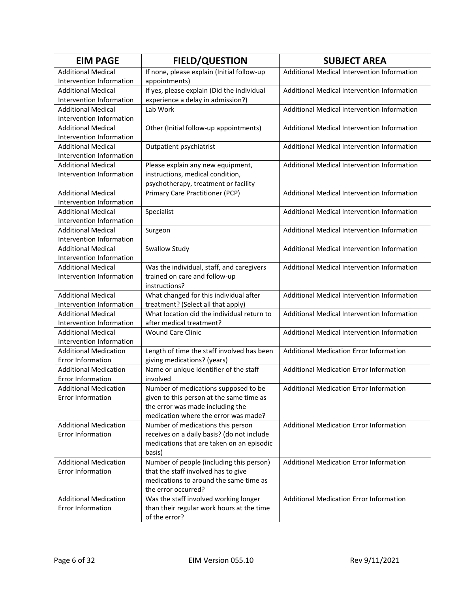| <b>EIM PAGE</b>              | <b>FIELD/QUESTION</b>                      | <b>SUBJECT AREA</b>                            |
|------------------------------|--------------------------------------------|------------------------------------------------|
| <b>Additional Medical</b>    | If none, please explain (Initial follow-up | Additional Medical Intervention Information    |
| Intervention Information     | appointments)                              |                                                |
| <b>Additional Medical</b>    | If yes, please explain (Did the individual | Additional Medical Intervention Information    |
| Intervention Information     | experience a delay in admission?)          |                                                |
| <b>Additional Medical</b>    | Lab Work                                   | Additional Medical Intervention Information    |
| Intervention Information     |                                            |                                                |
| <b>Additional Medical</b>    | Other (Initial follow-up appointments)     | Additional Medical Intervention Information    |
| Intervention Information     |                                            |                                                |
| <b>Additional Medical</b>    | Outpatient psychiatrist                    | Additional Medical Intervention Information    |
| Intervention Information     |                                            |                                                |
| <b>Additional Medical</b>    | Please explain any new equipment,          | Additional Medical Intervention Information    |
| Intervention Information     | instructions, medical condition,           |                                                |
|                              | psychotherapy, treatment or facility       |                                                |
| <b>Additional Medical</b>    | Primary Care Practitioner (PCP)            | Additional Medical Intervention Information    |
| Intervention Information     |                                            |                                                |
| <b>Additional Medical</b>    | Specialist                                 | Additional Medical Intervention Information    |
| Intervention Information     |                                            |                                                |
| <b>Additional Medical</b>    | Surgeon                                    | Additional Medical Intervention Information    |
| Intervention Information     |                                            |                                                |
| <b>Additional Medical</b>    | Swallow Study                              | Additional Medical Intervention Information    |
| Intervention Information     |                                            |                                                |
| <b>Additional Medical</b>    | Was the individual, staff, and caregivers  | Additional Medical Intervention Information    |
| Intervention Information     | trained on care and follow-up              |                                                |
|                              | instructions?                              |                                                |
| <b>Additional Medical</b>    | What changed for this individual after     | Additional Medical Intervention Information    |
| Intervention Information     | treatment? (Select all that apply)         |                                                |
| <b>Additional Medical</b>    | What location did the individual return to | Additional Medical Intervention Information    |
| Intervention Information     | after medical treatment?                   |                                                |
| <b>Additional Medical</b>    | <b>Wound Care Clinic</b>                   | Additional Medical Intervention Information    |
| Intervention Information     |                                            |                                                |
| <b>Additional Medication</b> | Length of time the staff involved has been | <b>Additional Medication Error Information</b> |
| Error Information            | giving medications? (years)                |                                                |
| <b>Additional Medication</b> | Name or unique identifier of the staff     | Additional Medication Error Information        |
| Error Information            | involved                                   |                                                |
| <b>Additional Medication</b> | Number of medications supposed to be       | Additional Medication Error Information        |
| <b>Error Information</b>     | given to this person at the same time as   |                                                |
|                              | the error was made including the           |                                                |
|                              | medication where the error was made?       |                                                |
| <b>Additional Medication</b> | Number of medications this person          | Additional Medication Error Information        |
| <b>Error Information</b>     | receives on a daily basis? (do not include |                                                |
|                              | medications that are taken on an episodic  |                                                |
|                              | basis)                                     |                                                |
| <b>Additional Medication</b> | Number of people (including this person)   | Additional Medication Error Information        |
| <b>Error Information</b>     | that the staff involved has to give        |                                                |
|                              | medications to around the same time as     |                                                |
|                              | the error occurred?                        |                                                |
| <b>Additional Medication</b> | Was the staff involved working longer      | Additional Medication Error Information        |
| <b>Error Information</b>     | than their regular work hours at the time  |                                                |
|                              | of the error?                              |                                                |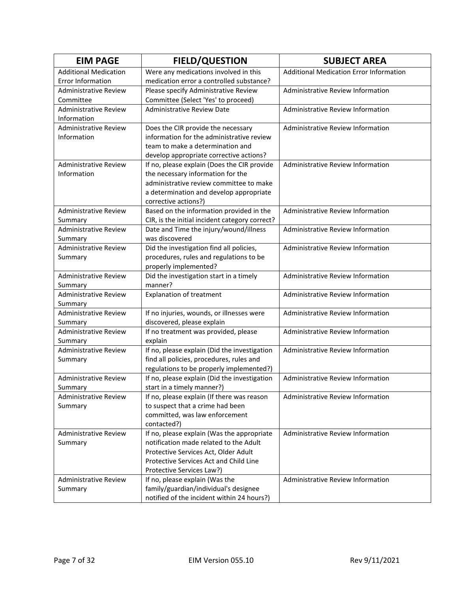| <b>EIM PAGE</b>                         | <b>FIELD/QUESTION</b>                                                                | <b>SUBJECT AREA</b>                            |
|-----------------------------------------|--------------------------------------------------------------------------------------|------------------------------------------------|
| <b>Additional Medication</b>            | Were any medications involved in this                                                | <b>Additional Medication Error Information</b> |
| Error Information                       | medication error a controlled substance?                                             |                                                |
| <b>Administrative Review</b>            | Please specify Administrative Review                                                 | Administrative Review Information              |
| Committee                               | Committee (Select 'Yes' to proceed)                                                  |                                                |
| <b>Administrative Review</b>            | <b>Administrative Review Date</b>                                                    | Administrative Review Information              |
| Information                             |                                                                                      |                                                |
| <b>Administrative Review</b>            | Does the CIR provide the necessary                                                   | Administrative Review Information              |
| Information                             | information for the administrative review                                            |                                                |
|                                         | team to make a determination and                                                     |                                                |
|                                         | develop appropriate corrective actions?                                              |                                                |
| <b>Administrative Review</b>            | If no, please explain (Does the CIR provide                                          | Administrative Review Information              |
| Information                             | the necessary information for the                                                    |                                                |
|                                         | administrative review committee to make                                              |                                                |
|                                         | a determination and develop appropriate                                              |                                                |
|                                         | corrective actions?)                                                                 |                                                |
| Administrative Review                   | Based on the information provided in the                                             | Administrative Review Information              |
| Summary                                 | CIR, is the initial incident category correct?                                       | Administrative Review Information              |
| <b>Administrative Review</b>            | Date and Time the injury/wound/illness<br>was discovered                             |                                                |
| Summary<br><b>Administrative Review</b> |                                                                                      |                                                |
| Summary                                 | Did the investigation find all policies,<br>procedures, rules and regulations to be  | Administrative Review Information              |
|                                         | properly implemented?                                                                |                                                |
| <b>Administrative Review</b>            | Did the investigation start in a timely                                              | Administrative Review Information              |
| Summary                                 | manner?                                                                              |                                                |
| <b>Administrative Review</b>            | <b>Explanation of treatment</b>                                                      | Administrative Review Information              |
| Summary                                 |                                                                                      |                                                |
| <b>Administrative Review</b>            | If no injuries, wounds, or illnesses were                                            | Administrative Review Information              |
| Summary                                 | discovered, please explain                                                           |                                                |
| <b>Administrative Review</b>            | If no treatment was provided, please                                                 | Administrative Review Information              |
| Summary                                 | explain                                                                              |                                                |
| <b>Administrative Review</b>            | If no, please explain (Did the investigation                                         | Administrative Review Information              |
| Summary                                 | find all policies, procedures, rules and                                             |                                                |
|                                         | regulations to be properly implemented?)                                             |                                                |
| <b>Administrative Review</b>            | If no, please explain (Did the investigation                                         | Administrative Review Information              |
| Summary                                 | start in a timely manner?)                                                           |                                                |
| <b>Administrative Review</b>            | If no, please explain (If there was reason                                           | Administrative Review Information              |
| Summary                                 | to suspect that a crime had been                                                     |                                                |
|                                         | committed, was law enforcement                                                       |                                                |
|                                         | contacted?)                                                                          |                                                |
| <b>Administrative Review</b>            | If no, please explain (Was the appropriate<br>notification made related to the Adult | Administrative Review Information              |
| Summary                                 |                                                                                      |                                                |
|                                         | Protective Services Act, Older Adult<br>Protective Services Act and Child Line       |                                                |
|                                         | Protective Services Law?)                                                            |                                                |
| <b>Administrative Review</b>            | If no, please explain (Was the                                                       | <b>Administrative Review Information</b>       |
| Summary                                 | family/guardian/individual's designee                                                |                                                |
|                                         | notified of the incident within 24 hours?)                                           |                                                |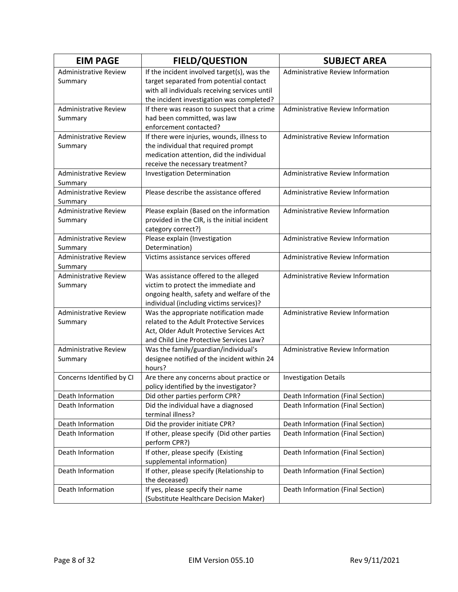| <b>EIM PAGE</b>              | <b>FIELD/QUESTION</b>                                                               | <b>SUBJECT AREA</b>               |
|------------------------------|-------------------------------------------------------------------------------------|-----------------------------------|
| <b>Administrative Review</b> | If the incident involved target(s), was the                                         | Administrative Review Information |
| Summary                      | target separated from potential contact                                             |                                   |
|                              | with all individuals receiving services until                                       |                                   |
|                              | the incident investigation was completed?                                           |                                   |
| <b>Administrative Review</b> | If there was reason to suspect that a crime                                         | Administrative Review Information |
| Summary                      | had been committed, was law                                                         |                                   |
|                              | enforcement contacted?                                                              |                                   |
| <b>Administrative Review</b> | If there were injuries, wounds, illness to                                          | Administrative Review Information |
| Summary                      | the individual that required prompt                                                 |                                   |
|                              | medication attention, did the individual                                            |                                   |
|                              | receive the necessary treatment?                                                    |                                   |
| <b>Administrative Review</b> | <b>Investigation Determination</b>                                                  | Administrative Review Information |
| Summary                      |                                                                                     |                                   |
| <b>Administrative Review</b> | Please describe the assistance offered                                              | Administrative Review Information |
| Summary                      |                                                                                     |                                   |
| <b>Administrative Review</b> | Please explain (Based on the information                                            | Administrative Review Information |
| Summary                      | provided in the CIR, is the initial incident                                        |                                   |
|                              | category correct?)                                                                  |                                   |
| <b>Administrative Review</b> | Please explain (Investigation                                                       | Administrative Review Information |
| Summary                      | Determination)                                                                      |                                   |
| <b>Administrative Review</b> | Victims assistance services offered                                                 | Administrative Review Information |
| Summary                      |                                                                                     |                                   |
| <b>Administrative Review</b> | Was assistance offered to the alleged                                               | Administrative Review Information |
| Summary                      | victim to protect the immediate and                                                 |                                   |
|                              | ongoing health, safety and welfare of the                                           |                                   |
|                              | individual (including victims services)?                                            |                                   |
| <b>Administrative Review</b> | Was the appropriate notification made                                               | Administrative Review Information |
| Summary                      | related to the Adult Protective Services                                            |                                   |
|                              | Act, Older Adult Protective Services Act<br>and Child Line Protective Services Law? |                                   |
| <b>Administrative Review</b> | Was the family/guardian/individual's                                                | Administrative Review Information |
| Summary                      | designee notified of the incident within 24                                         |                                   |
|                              | hours?                                                                              |                                   |
| Concerns Identified by CI    | Are there any concerns about practice or                                            | <b>Investigation Details</b>      |
|                              | policy identified by the investigator?                                              |                                   |
| Death Information            | Did other parties perform CPR?                                                      | Death Information (Final Section) |
| Death Information            | Did the individual have a diagnosed                                                 | Death Information (Final Section) |
|                              | terminal illness?                                                                   |                                   |
| Death Information            | Did the provider initiate CPR?                                                      | Death Information (Final Section) |
| Death Information            | If other, please specify (Did other parties                                         | Death Information (Final Section) |
|                              | perform CPR?)                                                                       |                                   |
| Death Information            | If other, please specify (Existing                                                  | Death Information (Final Section) |
|                              | supplemental information)                                                           |                                   |
| Death Information            | If other, please specify (Relationship to                                           | Death Information (Final Section) |
|                              | the deceased)                                                                       |                                   |
| Death Information            | If yes, please specify their name                                                   | Death Information (Final Section) |
|                              | (Substitute Healthcare Decision Maker)                                              |                                   |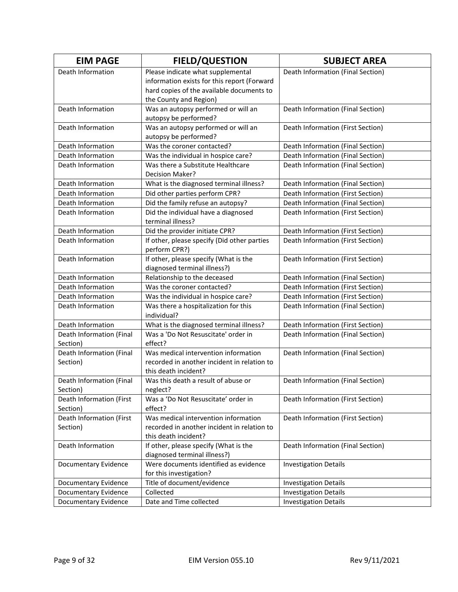| <b>EIM PAGE</b>          | <b>FIELD/QUESTION</b>                                        | <b>SUBJECT AREA</b>               |
|--------------------------|--------------------------------------------------------------|-----------------------------------|
| Death Information        | Please indicate what supplemental                            | Death Information (Final Section) |
|                          | information exists for this report (Forward                  |                                   |
|                          | hard copies of the available documents to                    |                                   |
|                          | the County and Region)                                       |                                   |
| Death Information        | Was an autopsy performed or will an                          | Death Information (Final Section) |
|                          | autopsy be performed?                                        |                                   |
| Death Information        | Was an autopsy performed or will an                          | Death Information (First Section) |
|                          | autopsy be performed?                                        |                                   |
| Death Information        | Was the coroner contacted?                                   | Death Information (Final Section) |
| Death Information        | Was the individual in hospice care?                          | Death Information (Final Section) |
| Death Information        | Was there a Substitute Healthcare                            | Death Information (Final Section) |
|                          | Decision Maker?                                              |                                   |
| Death Information        | What is the diagnosed terminal illness?                      | Death Information (Final Section) |
| Death Information        | Did other parties perform CPR?                               | Death Information (First Section) |
| Death Information        | Did the family refuse an autopsy?                            | Death Information (Final Section) |
| Death Information        | Did the individual have a diagnosed                          | Death Information (First Section) |
|                          | terminal illness?                                            |                                   |
| Death Information        | Did the provider initiate CPR?                               | Death Information (First Section) |
| Death Information        | If other, please specify (Did other parties                  | Death Information (First Section) |
| Death Information        | perform CPR?)                                                | Death Information (First Section) |
|                          | If other, please specify (What is the                        |                                   |
| Death Information        | diagnosed terminal illness?)<br>Relationship to the deceased | Death Information (Final Section) |
| Death Information        | Was the coroner contacted?                                   | Death Information (First Section) |
| Death Information        | Was the individual in hospice care?                          | Death Information (First Section) |
| Death Information        | Was there a hospitalization for this                         | Death Information (Final Section) |
|                          | individual?                                                  |                                   |
| Death Information        | What is the diagnosed terminal illness?                      | Death Information (First Section) |
| Death Information (Final | Was a 'Do Not Resuscitate' order in                          | Death Information (Final Section) |
| Section)                 | effect?                                                      |                                   |
| Death Information (Final | Was medical intervention information                         | Death Information (Final Section) |
| Section)                 | recorded in another incident in relation to                  |                                   |
|                          | this death incident?                                         |                                   |
| Death Information (Final | Was this death a result of abuse or                          | Death Information (Final Section) |
| Section)                 | neglect?                                                     |                                   |
| Death Information (First | Was a 'Do Not Resuscitate' order in                          | Death Information (First Section) |
| Section)                 | effect?                                                      |                                   |
| Death Information (First | Was medical intervention information                         | Death Information (First Section) |
| Section)                 | recorded in another incident in relation to                  |                                   |
|                          | this death incident?                                         |                                   |
| Death Information        | If other, please specify (What is the                        | Death Information (Final Section) |
|                          | diagnosed terminal illness?)                                 |                                   |
| Documentary Evidence     | Were documents identified as evidence                        | <b>Investigation Details</b>      |
|                          | for this investigation?                                      |                                   |
| Documentary Evidence     | Title of document/evidence                                   | <b>Investigation Details</b>      |
| Documentary Evidence     | Collected                                                    | <b>Investigation Details</b>      |
| Documentary Evidence     | Date and Time collected                                      | <b>Investigation Details</b>      |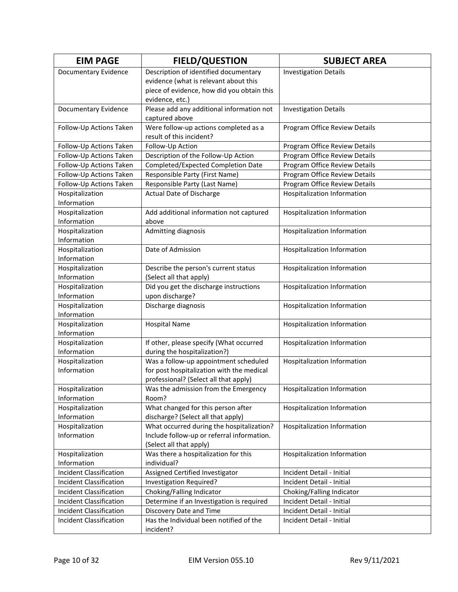| <b>EIM PAGE</b>                | <b>FIELD/QUESTION</b>                      | <b>SUBJECT AREA</b>           |
|--------------------------------|--------------------------------------------|-------------------------------|
| Documentary Evidence           | Description of identified documentary      | <b>Investigation Details</b>  |
|                                | evidence (what is relevant about this      |                               |
|                                | piece of evidence, how did you obtain this |                               |
|                                | evidence, etc.)                            |                               |
| Documentary Evidence           | Please add any additional information not  | <b>Investigation Details</b>  |
|                                | captured above                             |                               |
| Follow-Up Actions Taken        | Were follow-up actions completed as a      | Program Office Review Details |
|                                | result of this incident?                   |                               |
| Follow-Up Actions Taken        | Follow-Up Action                           | Program Office Review Details |
| Follow-Up Actions Taken        | Description of the Follow-Up Action        | Program Office Review Details |
| Follow-Up Actions Taken        | Completed/Expected Completion Date         | Program Office Review Details |
| Follow-Up Actions Taken        | Responsible Party (First Name)             | Program Office Review Details |
| Follow-Up Actions Taken        | Responsible Party (Last Name)              | Program Office Review Details |
| Hospitalization                | Actual Date of Discharge                   | Hospitalization Information   |
| Information                    |                                            |                               |
| Hospitalization                | Add additional information not captured    | Hospitalization Information   |
| Information                    | above                                      |                               |
| Hospitalization                | Admitting diagnosis                        | Hospitalization Information   |
| Information                    |                                            |                               |
| Hospitalization                | Date of Admission                          | Hospitalization Information   |
| Information                    |                                            |                               |
| Hospitalization                | Describe the person's current status       | Hospitalization Information   |
| Information                    | (Select all that apply)                    |                               |
| Hospitalization                | Did you get the discharge instructions     | Hospitalization Information   |
| Information                    | upon discharge?                            |                               |
| Hospitalization<br>Information | Discharge diagnosis                        | Hospitalization Information   |
| Hospitalization                |                                            |                               |
| Information                    | <b>Hospital Name</b>                       | Hospitalization Information   |
| Hospitalization                | If other, please specify (What occurred    | Hospitalization Information   |
| Information                    | during the hospitalization?)               |                               |
| Hospitalization                | Was a follow-up appointment scheduled      | Hospitalization Information   |
| Information                    | for post hospitalization with the medical  |                               |
|                                | professional? (Select all that apply)      |                               |
| Hospitalization                | Was the admission from the Emergency       | Hospitalization Information   |
| Information                    | Room?                                      |                               |
| Hospitalization                | What changed for this person after         | Hospitalization Information   |
| Information                    | discharge? (Select all that apply)         |                               |
| Hospitalization                | What occurred during the hospitalization?  | Hospitalization Information   |
| Information                    | Include follow-up or referral information. |                               |
|                                | (Select all that apply)                    |                               |
| Hospitalization                | Was there a hospitalization for this       | Hospitalization Information   |
| Information                    | individual?                                |                               |
| <b>Incident Classification</b> | Assigned Certified Investigator            | Incident Detail - Initial     |
| <b>Incident Classification</b> | Investigation Required?                    | Incident Detail - Initial     |
| <b>Incident Classification</b> | Choking/Falling Indicator                  | Choking/Falling Indicator     |
| Incident Classification        | Determine if an Investigation is required  | Incident Detail - Initial     |
| Incident Classification        | Discovery Date and Time                    | Incident Detail - Initial     |
| <b>Incident Classification</b> | Has the Individual been notified of the    | Incident Detail - Initial     |
|                                | incident?                                  |                               |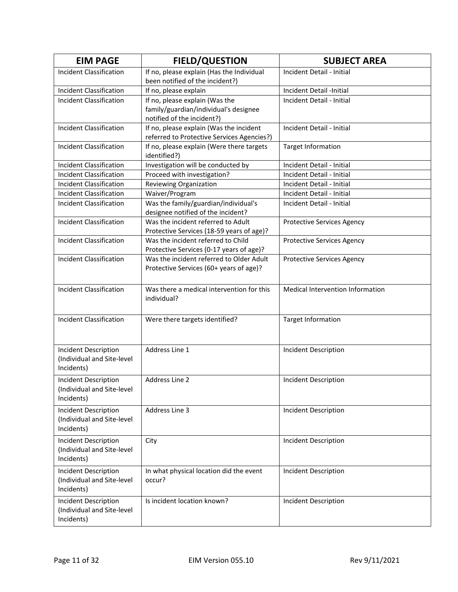| <b>EIM PAGE</b>                | <b>FIELD/QUESTION</b>                                                        | <b>SUBJECT AREA</b>               |
|--------------------------------|------------------------------------------------------------------------------|-----------------------------------|
| Incident Classification        | If no, please explain (Has the Individual<br>been notified of the incident?) | Incident Detail - Initial         |
| <b>Incident Classification</b> | If no, please explain                                                        | Incident Detail -Initial          |
| <b>Incident Classification</b> | If no, please explain (Was the                                               | Incident Detail - Initial         |
|                                | family/guardian/individual's designee                                        |                                   |
|                                | notified of the incident?)                                                   |                                   |
| <b>Incident Classification</b> | If no, please explain (Was the incident                                      | Incident Detail - Initial         |
|                                | referred to Protective Services Agencies?)                                   |                                   |
| <b>Incident Classification</b> | If no, please explain (Were there targets                                    | <b>Target Information</b>         |
|                                | identified?)                                                                 |                                   |
| <b>Incident Classification</b> | Investigation will be conducted by                                           | Incident Detail - Initial         |
| <b>Incident Classification</b> | Proceed with investigation?                                                  | Incident Detail - Initial         |
| <b>Incident Classification</b> | Reviewing Organization                                                       | Incident Detail - Initial         |
| <b>Incident Classification</b> | Waiver/Program                                                               | Incident Detail - Initial         |
| <b>Incident Classification</b> | Was the family/guardian/individual's                                         | Incident Detail - Initial         |
|                                | designee notified of the incident?                                           |                                   |
| <b>Incident Classification</b> | Was the incident referred to Adult                                           | <b>Protective Services Agency</b> |
|                                | Protective Services (18-59 years of age)?                                    |                                   |
| <b>Incident Classification</b> | Was the incident referred to Child                                           | <b>Protective Services Agency</b> |
|                                | Protective Services (0-17 years of age)?                                     |                                   |
| <b>Incident Classification</b> | Was the incident referred to Older Adult                                     | <b>Protective Services Agency</b> |
|                                | Protective Services (60+ years of age)?                                      |                                   |
|                                |                                                                              |                                   |
| <b>Incident Classification</b> | Was there a medical intervention for this                                    | Medical Intervention Information  |
|                                | individual?                                                                  |                                   |
|                                |                                                                              |                                   |
| <b>Incident Classification</b> | Were there targets identified?                                               | <b>Target Information</b>         |
|                                |                                                                              |                                   |
|                                |                                                                              |                                   |
| Incident Description           | Address Line 1                                                               | Incident Description              |
| (Individual and Site-level     |                                                                              |                                   |
| Incidents)                     |                                                                              |                                   |
| Incident Description           | Address Line 2                                                               | Incident Description              |
| (Individual and Site-level     |                                                                              |                                   |
| Incidents)                     |                                                                              |                                   |
| Incident Description           | Address Line 3                                                               | Incident Description              |
| (Individual and Site-level     |                                                                              |                                   |
| Incidents)                     |                                                                              |                                   |
| Incident Description           | City                                                                         | <b>Incident Description</b>       |
| (Individual and Site-level     |                                                                              |                                   |
| Incidents)                     |                                                                              |                                   |
| Incident Description           | In what physical location did the event                                      | <b>Incident Description</b>       |
| (Individual and Site-level     | occur?                                                                       |                                   |
| Incidents)                     |                                                                              |                                   |
| Incident Description           | Is incident location known?                                                  | Incident Description              |
| (Individual and Site-level     |                                                                              |                                   |
| Incidents)                     |                                                                              |                                   |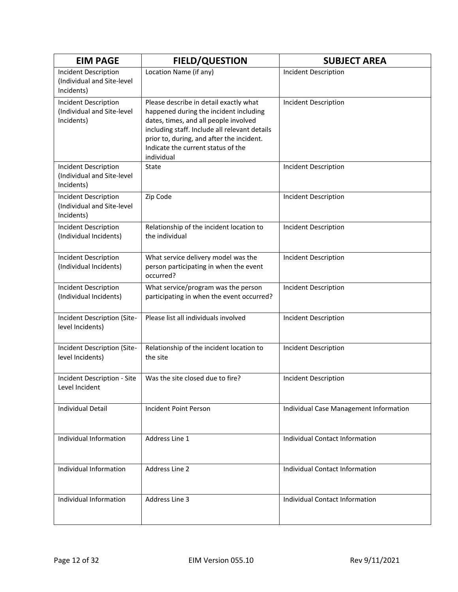| <b>EIM PAGE</b>                                                         | <b>FIELD/QUESTION</b>                                                                                                                                                                                                                                                       | <b>SUBJECT AREA</b>                    |
|-------------------------------------------------------------------------|-----------------------------------------------------------------------------------------------------------------------------------------------------------------------------------------------------------------------------------------------------------------------------|----------------------------------------|
| Incident Description<br>(Individual and Site-level<br>Incidents)        | Location Name (if any)                                                                                                                                                                                                                                                      | <b>Incident Description</b>            |
| Incident Description<br>(Individual and Site-level<br>Incidents)        | Please describe in detail exactly what<br>happened during the incident including<br>dates, times, and all people involved<br>including staff. Include all relevant details<br>prior to, during, and after the incident.<br>Indicate the current status of the<br>individual | Incident Description                   |
| Incident Description<br>(Individual and Site-level<br>Incidents)        | State                                                                                                                                                                                                                                                                       | Incident Description                   |
| <b>Incident Description</b><br>(Individual and Site-level<br>Incidents) | Zip Code                                                                                                                                                                                                                                                                    | Incident Description                   |
| Incident Description<br>(Individual Incidents)                          | Relationship of the incident location to<br>the individual                                                                                                                                                                                                                  | <b>Incident Description</b>            |
| <b>Incident Description</b><br>(Individual Incidents)                   | What service delivery model was the<br>person participating in when the event<br>occurred?                                                                                                                                                                                  | <b>Incident Description</b>            |
| <b>Incident Description</b><br>(Individual Incidents)                   | What service/program was the person<br>participating in when the event occurred?                                                                                                                                                                                            | Incident Description                   |
| Incident Description (Site-<br>level Incidents)                         | Please list all individuals involved                                                                                                                                                                                                                                        | <b>Incident Description</b>            |
| Incident Description (Site-<br>level Incidents)                         | Relationship of the incident location to<br>the site                                                                                                                                                                                                                        | Incident Description                   |
| Incident Description - Site<br>Level Incident                           | Was the site closed due to fire?                                                                                                                                                                                                                                            | <b>Incident Description</b>            |
| <b>Individual Detail</b>                                                | Incident Point Person                                                                                                                                                                                                                                                       | Individual Case Management Information |
| Individual Information                                                  | Address Line 1                                                                                                                                                                                                                                                              | <b>Individual Contact Information</b>  |
| Individual Information                                                  | Address Line 2                                                                                                                                                                                                                                                              | Individual Contact Information         |
| Individual Information                                                  | Address Line 3                                                                                                                                                                                                                                                              | Individual Contact Information         |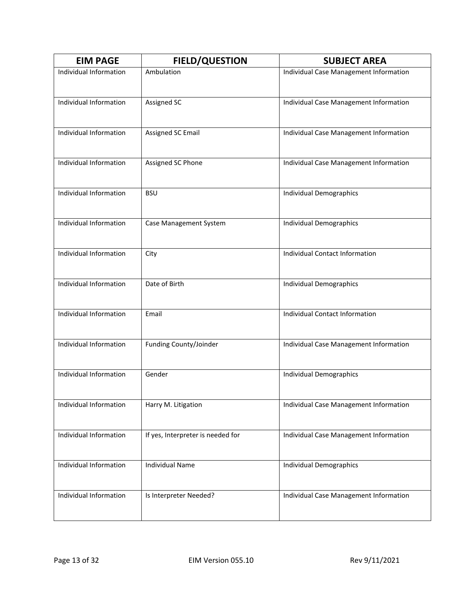| <b>EIM PAGE</b>        | <b>FIELD/QUESTION</b>             | <b>SUBJECT AREA</b>                    |
|------------------------|-----------------------------------|----------------------------------------|
| Individual Information | Ambulation                        | Individual Case Management Information |
| Individual Information | <b>Assigned SC</b>                | Individual Case Management Information |
| Individual Information | Assigned SC Email                 | Individual Case Management Information |
| Individual Information | Assigned SC Phone                 | Individual Case Management Information |
| Individual Information | <b>BSU</b>                        | <b>Individual Demographics</b>         |
| Individual Information | Case Management System            | Individual Demographics                |
| Individual Information | City                              | <b>Individual Contact Information</b>  |
| Individual Information | Date of Birth                     | Individual Demographics                |
| Individual Information | Email                             | <b>Individual Contact Information</b>  |
| Individual Information | Funding County/Joinder            | Individual Case Management Information |
| Individual Information | Gender                            | Individual Demographics                |
| Individual Information | Harry M. Litigation               | Individual Case Management Information |
| Individual Information | If yes, Interpreter is needed for | Individual Case Management Information |
| Individual Information | <b>Individual Name</b>            | Individual Demographics                |
| Individual Information | Is Interpreter Needed?            | Individual Case Management Information |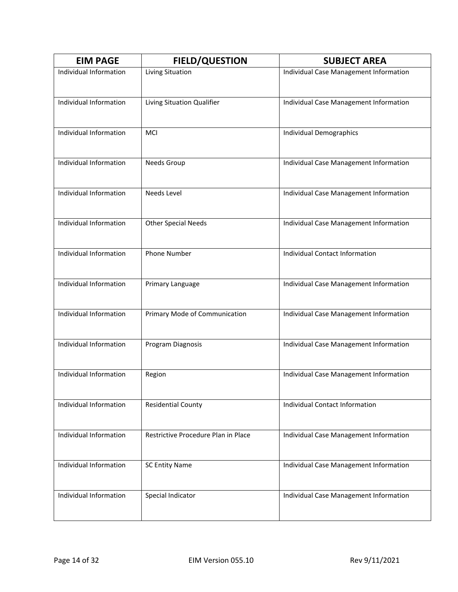| <b>EIM PAGE</b>        | <b>FIELD/QUESTION</b>               | <b>SUBJECT AREA</b>                    |
|------------------------|-------------------------------------|----------------------------------------|
| Individual Information | Living Situation                    | Individual Case Management Information |
| Individual Information | Living Situation Qualifier          | Individual Case Management Information |
| Individual Information | MCI                                 | <b>Individual Demographics</b>         |
| Individual Information | Needs Group                         | Individual Case Management Information |
| Individual Information | Needs Level                         | Individual Case Management Information |
| Individual Information | <b>Other Special Needs</b>          | Individual Case Management Information |
| Individual Information | <b>Phone Number</b>                 | <b>Individual Contact Information</b>  |
| Individual Information | Primary Language                    | Individual Case Management Information |
| Individual Information | Primary Mode of Communication       | Individual Case Management Information |
| Individual Information | Program Diagnosis                   | Individual Case Management Information |
| Individual Information | Region                              | Individual Case Management Information |
| Individual Information | <b>Residential County</b>           | <b>Individual Contact Information</b>  |
| Individual Information | Restrictive Procedure Plan in Place | Individual Case Management Information |
| Individual Information | <b>SC Entity Name</b>               | Individual Case Management Information |
| Individual Information | Special Indicator                   | Individual Case Management Information |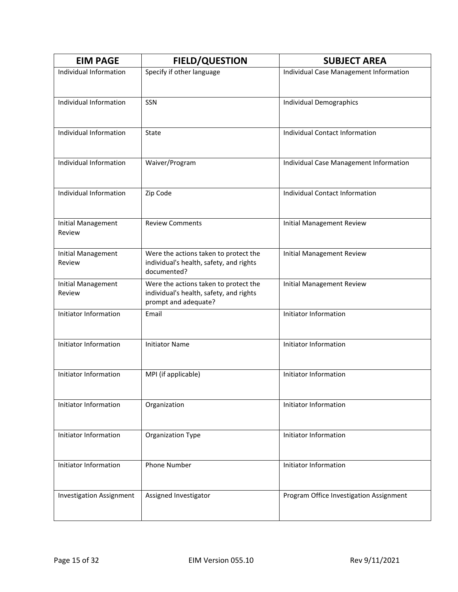| <b>EIM PAGE</b>                     | <b>FIELD/QUESTION</b>                                                                                    | <b>SUBJECT AREA</b>                     |
|-------------------------------------|----------------------------------------------------------------------------------------------------------|-----------------------------------------|
| Individual Information              | Specify if other language                                                                                | Individual Case Management Information  |
| Individual Information              | SSN                                                                                                      | Individual Demographics                 |
| Individual Information              | State                                                                                                    | Individual Contact Information          |
| Individual Information              | Waiver/Program                                                                                           | Individual Case Management Information  |
| Individual Information              | Zip Code                                                                                                 | <b>Individual Contact Information</b>   |
| <b>Initial Management</b><br>Review | <b>Review Comments</b>                                                                                   | <b>Initial Management Review</b>        |
| <b>Initial Management</b><br>Review | Were the actions taken to protect the<br>individual's health, safety, and rights<br>documented?          | <b>Initial Management Review</b>        |
| Initial Management<br>Review        | Were the actions taken to protect the<br>individual's health, safety, and rights<br>prompt and adequate? | <b>Initial Management Review</b>        |
| Initiator Information               | Email                                                                                                    | Initiator Information                   |
| Initiator Information               | <b>Initiator Name</b>                                                                                    | Initiator Information                   |
| Initiator Information               | MPI (if applicable)                                                                                      | Initiator Information                   |
| Initiator Information               | Organization                                                                                             | Initiator Information                   |
| Initiator Information               | Organization Type                                                                                        | Initiator Information                   |
| Initiator Information               | <b>Phone Number</b>                                                                                      | Initiator Information                   |
| <b>Investigation Assignment</b>     | Assigned Investigator                                                                                    | Program Office Investigation Assignment |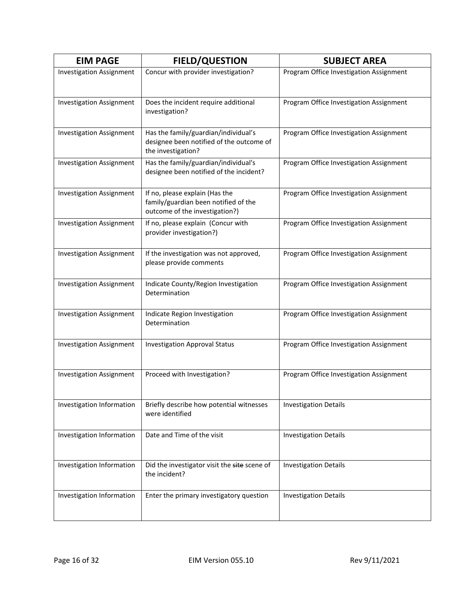| <b>EIM PAGE</b>                 | <b>FIELD/QUESTION</b>                                                                                    | <b>SUBJECT AREA</b>                     |
|---------------------------------|----------------------------------------------------------------------------------------------------------|-----------------------------------------|
| <b>Investigation Assignment</b> | Concur with provider investigation?                                                                      | Program Office Investigation Assignment |
| <b>Investigation Assignment</b> | Does the incident require additional<br>investigation?                                                   | Program Office Investigation Assignment |
| <b>Investigation Assignment</b> | Has the family/guardian/individual's<br>designee been notified of the outcome of<br>the investigation?   | Program Office Investigation Assignment |
| <b>Investigation Assignment</b> | Has the family/guardian/individual's<br>designee been notified of the incident?                          | Program Office Investigation Assignment |
| <b>Investigation Assignment</b> | If no, please explain (Has the<br>family/guardian been notified of the<br>outcome of the investigation?) | Program Office Investigation Assignment |
| <b>Investigation Assignment</b> | If no, please explain (Concur with<br>provider investigation?)                                           | Program Office Investigation Assignment |
| <b>Investigation Assignment</b> | If the investigation was not approved,<br>please provide comments                                        | Program Office Investigation Assignment |
| <b>Investigation Assignment</b> | Indicate County/Region Investigation<br>Determination                                                    | Program Office Investigation Assignment |
| <b>Investigation Assignment</b> | Indicate Region Investigation<br>Determination                                                           | Program Office Investigation Assignment |
| <b>Investigation Assignment</b> | <b>Investigation Approval Status</b>                                                                     | Program Office Investigation Assignment |
| <b>Investigation Assignment</b> | Proceed with Investigation?                                                                              | Program Office Investigation Assignment |
| Investigation Information       | Briefly describe how potential witnesses<br>were identified                                              | <b>Investigation Details</b>            |
| Investigation Information       | Date and Time of the visit                                                                               | <b>Investigation Details</b>            |
| Investigation Information       | Did the investigator visit the site scene of<br>the incident?                                            | <b>Investigation Details</b>            |
| Investigation Information       | Enter the primary investigatory question                                                                 | <b>Investigation Details</b>            |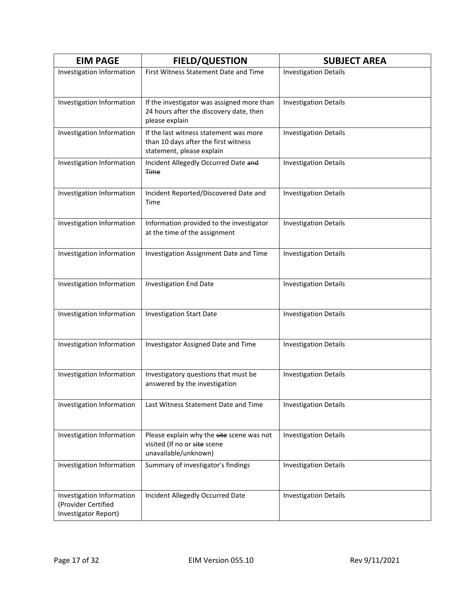| <b>EIM PAGE</b>                                                          | <b>FIELD/QUESTION</b>                                                                                       | <b>SUBJECT AREA</b>          |
|--------------------------------------------------------------------------|-------------------------------------------------------------------------------------------------------------|------------------------------|
| Investigation Information                                                | First Witness Statement Date and Time                                                                       | <b>Investigation Details</b> |
|                                                                          |                                                                                                             |                              |
| Investigation Information                                                | If the investigator was assigned more than<br>24 hours after the discovery date, then<br>please explain     | <b>Investigation Details</b> |
| Investigation Information                                                | If the last witness statement was more<br>than 10 days after the first witness<br>statement, please explain | <b>Investigation Details</b> |
| Investigation Information                                                | Incident Allegedly Occurred Date and<br><b>Time</b>                                                         | <b>Investigation Details</b> |
| Investigation Information                                                | Incident Reported/Discovered Date and<br>Time                                                               | <b>Investigation Details</b> |
| Investigation Information                                                | Information provided to the investigator<br>at the time of the assignment                                   | <b>Investigation Details</b> |
| Investigation Information                                                | Investigation Assignment Date and Time                                                                      | <b>Investigation Details</b> |
| Investigation Information                                                | <b>Investigation End Date</b>                                                                               | <b>Investigation Details</b> |
| Investigation Information                                                | <b>Investigation Start Date</b>                                                                             | <b>Investigation Details</b> |
| Investigation Information                                                | Investigator Assigned Date and Time                                                                         | <b>Investigation Details</b> |
| Investigation Information                                                | Investigatory questions that must be<br>answered by the investigation                                       | <b>Investigation Details</b> |
| Investigation Information                                                | Last Witness Statement Date and Time                                                                        | <b>Investigation Details</b> |
| Investigation Information                                                | Please explain why the site scene was not<br>visited (If no or site scene<br>unavailable/unknown)           | <b>Investigation Details</b> |
| Investigation Information                                                | Summary of investigator's findings                                                                          | <b>Investigation Details</b> |
| Investigation Information<br>(Provider Certified<br>Investigator Report) | Incident Allegedly Occurred Date                                                                            | <b>Investigation Details</b> |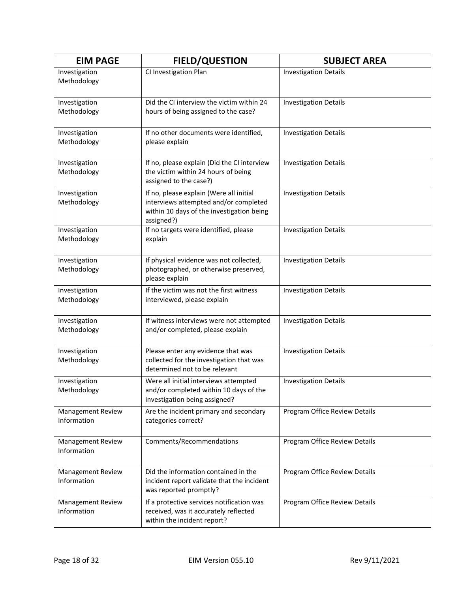| <b>EIM PAGE</b>                         | <b>FIELD/QUESTION</b>                                                                                                                       | <b>SUBJECT AREA</b>           |
|-----------------------------------------|---------------------------------------------------------------------------------------------------------------------------------------------|-------------------------------|
| Investigation<br>Methodology            | CI Investigation Plan                                                                                                                       | <b>Investigation Details</b>  |
| Investigation<br>Methodology            | Did the CI interview the victim within 24<br>hours of being assigned to the case?                                                           | <b>Investigation Details</b>  |
| Investigation<br>Methodology            | If no other documents were identified,<br>please explain                                                                                    | <b>Investigation Details</b>  |
| Investigation<br>Methodology            | If no, please explain (Did the CI interview<br>the victim within 24 hours of being<br>assigned to the case?)                                | <b>Investigation Details</b>  |
| Investigation<br>Methodology            | If no, please explain (Were all initial<br>interviews attempted and/or completed<br>within 10 days of the investigation being<br>assigned?) | <b>Investigation Details</b>  |
| Investigation<br>Methodology            | If no targets were identified, please<br>explain                                                                                            | <b>Investigation Details</b>  |
| Investigation<br>Methodology            | If physical evidence was not collected,<br>photographed, or otherwise preserved,<br>please explain                                          | <b>Investigation Details</b>  |
| Investigation<br>Methodology            | If the victim was not the first witness<br>interviewed, please explain                                                                      | <b>Investigation Details</b>  |
| Investigation<br>Methodology            | If witness interviews were not attempted<br>and/or completed, please explain                                                                | <b>Investigation Details</b>  |
| Investigation<br>Methodology            | Please enter any evidence that was<br>collected for the investigation that was<br>determined not to be relevant                             | <b>Investigation Details</b>  |
| Investigation<br>Methodology            | Were all initial interviews attempted<br>and/or completed within 10 days of the<br>investigation being assigned?                            | <b>Investigation Details</b>  |
| <b>Management Review</b><br>Information | Are the incident primary and secondary<br>categories correct?                                                                               | Program Office Review Details |
| <b>Management Review</b><br>Information | Comments/Recommendations                                                                                                                    | Program Office Review Details |
| <b>Management Review</b><br>Information | Did the information contained in the<br>incident report validate that the incident<br>was reported promptly?                                | Program Office Review Details |
| <b>Management Review</b><br>Information | If a protective services notification was<br>received, was it accurately reflected<br>within the incident report?                           | Program Office Review Details |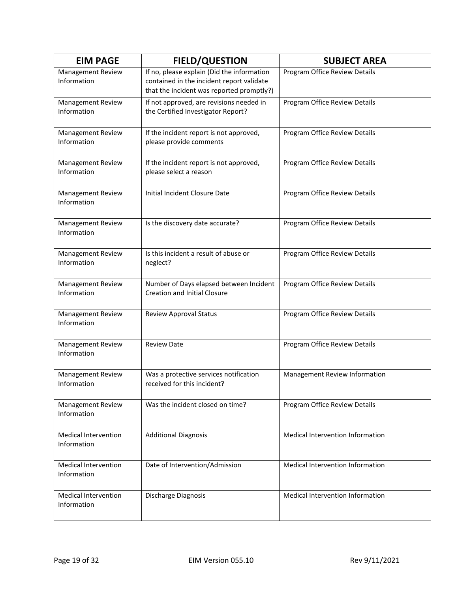| <b>EIM PAGE</b>                            | <b>FIELD/QUESTION</b>                                                                                                                | <b>SUBJECT AREA</b>                     |
|--------------------------------------------|--------------------------------------------------------------------------------------------------------------------------------------|-----------------------------------------|
| Management Review<br>Information           | If no, please explain (Did the information<br>contained in the incident report validate<br>that the incident was reported promptly?) | Program Office Review Details           |
| <b>Management Review</b><br>Information    | If not approved, are revisions needed in<br>the Certified Investigator Report?                                                       | Program Office Review Details           |
| Management Review<br>Information           | If the incident report is not approved,<br>please provide comments                                                                   | Program Office Review Details           |
| <b>Management Review</b><br>Information    | If the incident report is not approved,<br>please select a reason                                                                    | Program Office Review Details           |
| <b>Management Review</b><br>Information    | Initial Incident Closure Date                                                                                                        | Program Office Review Details           |
| Management Review<br>Information           | Is the discovery date accurate?                                                                                                      | Program Office Review Details           |
| Management Review<br>Information           | Is this incident a result of abuse or<br>neglect?                                                                                    | Program Office Review Details           |
| Management Review<br>Information           | Number of Days elapsed between Incident<br><b>Creation and Initial Closure</b>                                                       | Program Office Review Details           |
| <b>Management Review</b><br>Information    | <b>Review Approval Status</b>                                                                                                        | Program Office Review Details           |
| <b>Management Review</b><br>Information    | <b>Review Date</b>                                                                                                                   | Program Office Review Details           |
| Management Review<br>Information           | Was a protective services notification<br>received for this incident?                                                                | Management Review Information           |
| <b>Management Review</b><br>Information    | Was the incident closed on time?                                                                                                     | Program Office Review Details           |
| <b>Medical Intervention</b><br>Information | <b>Additional Diagnosis</b>                                                                                                          | Medical Intervention Information        |
| <b>Medical Intervention</b><br>Information | Date of Intervention/Admission                                                                                                       | Medical Intervention Information        |
| <b>Medical Intervention</b><br>Information | Discharge Diagnosis                                                                                                                  | <b>Medical Intervention Information</b> |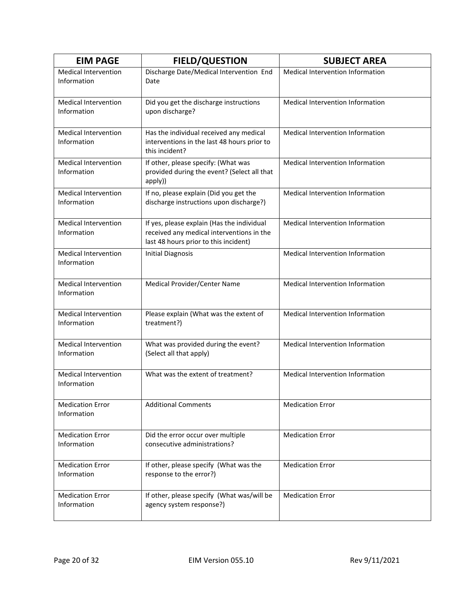| <b>EIM PAGE</b>                            | <b>FIELD/QUESTION</b>                                                                                                            | <b>SUBJECT AREA</b>              |
|--------------------------------------------|----------------------------------------------------------------------------------------------------------------------------------|----------------------------------|
| <b>Medical Intervention</b><br>Information | Discharge Date/Medical Intervention End<br>Date                                                                                  | Medical Intervention Information |
| Medical Intervention<br>Information        | Did you get the discharge instructions<br>upon discharge?                                                                        | Medical Intervention Information |
| <b>Medical Intervention</b><br>Information | Has the individual received any medical<br>interventions in the last 48 hours prior to<br>this incident?                         | Medical Intervention Information |
| <b>Medical Intervention</b><br>Information | If other, please specify: (What was<br>provided during the event? (Select all that<br>apply))                                    | Medical Intervention Information |
| <b>Medical Intervention</b><br>Information | If no, please explain (Did you get the<br>discharge instructions upon discharge?)                                                | Medical Intervention Information |
| <b>Medical Intervention</b><br>Information | If yes, please explain (Has the individual<br>received any medical interventions in the<br>last 48 hours prior to this incident) | Medical Intervention Information |
| <b>Medical Intervention</b><br>Information | <b>Initial Diagnosis</b>                                                                                                         | Medical Intervention Information |
| <b>Medical Intervention</b><br>Information | Medical Provider/Center Name                                                                                                     | Medical Intervention Information |
| <b>Medical Intervention</b><br>Information | Please explain (What was the extent of<br>treatment?)                                                                            | Medical Intervention Information |
| <b>Medical Intervention</b><br>Information | What was provided during the event?<br>(Select all that apply)                                                                   | Medical Intervention Information |
| <b>Medical Intervention</b><br>Information | What was the extent of treatment?                                                                                                | Medical Intervention Information |
| <b>Medication Error</b><br>Information     | <b>Additional Comments</b>                                                                                                       | <b>Medication Error</b>          |
| <b>Medication Error</b><br>Information     | Did the error occur over multiple<br>consecutive administrations?                                                                | <b>Medication Error</b>          |
| <b>Medication Error</b><br>Information     | If other, please specify (What was the<br>response to the error?)                                                                | <b>Medication Error</b>          |
| <b>Medication Error</b><br>Information     | If other, please specify (What was/will be<br>agency system response?)                                                           | <b>Medication Error</b>          |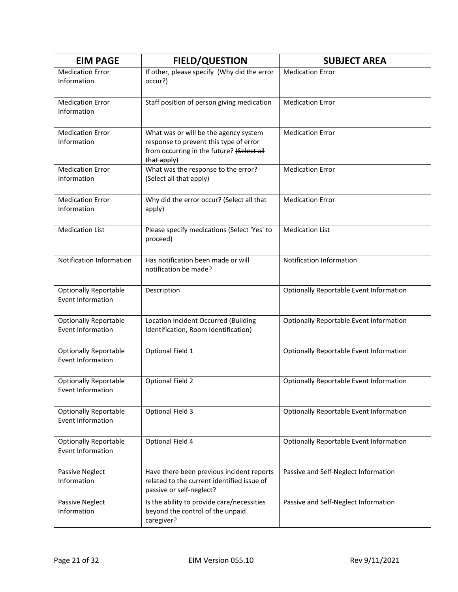| <b>EIM PAGE</b>                                          | <b>FIELD/QUESTION</b>                                                                                                                       | <b>SUBJECT AREA</b>                            |
|----------------------------------------------------------|---------------------------------------------------------------------------------------------------------------------------------------------|------------------------------------------------|
| <b>Medication Error</b><br>Information                   | If other, please specify (Why did the error<br>occur?)                                                                                      | <b>Medication Error</b>                        |
| <b>Medication Error</b><br>Information                   | Staff position of person giving medication                                                                                                  | <b>Medication Error</b>                        |
| <b>Medication Error</b><br>Information                   | What was or will be the agency system<br>response to prevent this type of error<br>from occurring in the future? (Select all<br>that apply) | <b>Medication Error</b>                        |
| <b>Medication Error</b><br>Information                   | What was the response to the error?<br>(Select all that apply)                                                                              | <b>Medication Error</b>                        |
| <b>Medication Error</b><br>Information                   | Why did the error occur? (Select all that<br>apply)                                                                                         | <b>Medication Error</b>                        |
| <b>Medication List</b>                                   | Please specify medications (Select 'Yes' to<br>proceed)                                                                                     | <b>Medication List</b>                         |
| <b>Notification Information</b>                          | Has notification been made or will<br>notification be made?                                                                                 | Notification Information                       |
| <b>Optionally Reportable</b><br><b>Event Information</b> | Description                                                                                                                                 | <b>Optionally Reportable Event Information</b> |
| <b>Optionally Reportable</b><br><b>Event Information</b> | Location Incident Occurred (Building<br>Identification, Room Identification)                                                                | <b>Optionally Reportable Event Information</b> |
| <b>Optionally Reportable</b><br><b>Event Information</b> | Optional Field 1                                                                                                                            | <b>Optionally Reportable Event Information</b> |
| <b>Optionally Reportable</b><br>Event Information        | Optional Field 2                                                                                                                            | <b>Optionally Reportable Event Information</b> |
| <b>Optionally Reportable</b><br>Event Information        | <b>Optional Field 3</b>                                                                                                                     | <b>Optionally Reportable Event Information</b> |
| <b>Optionally Reportable</b><br><b>Event Information</b> | Optional Field 4                                                                                                                            | <b>Optionally Reportable Event Information</b> |
| Passive Neglect<br>Information                           | Have there been previous incident reports<br>related to the current identified issue of<br>passive or self-neglect?                         | Passive and Self-Neglect Information           |
| Passive Neglect<br>Information                           | Is the ability to provide care/necessities<br>beyond the control of the unpaid<br>caregiver?                                                | Passive and Self-Neglect Information           |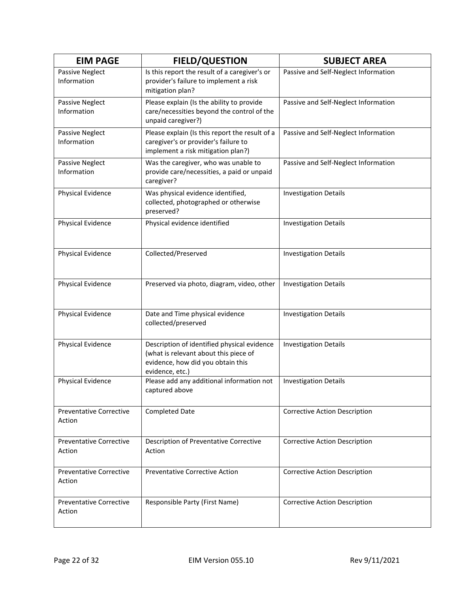| <b>EIM PAGE</b>                          | <b>FIELD/QUESTION</b>                                                                                                                        | <b>SUBJECT AREA</b>                  |
|------------------------------------------|----------------------------------------------------------------------------------------------------------------------------------------------|--------------------------------------|
| Passive Neglect<br>Information           | Is this report the result of a caregiver's or<br>provider's failure to implement a risk<br>mitigation plan?                                  | Passive and Self-Neglect Information |
| Passive Neglect<br>Information           | Please explain (Is the ability to provide<br>care/necessities beyond the control of the<br>unpaid caregiver?)                                | Passive and Self-Neglect Information |
| <b>Passive Neglect</b><br>Information    | Please explain (Is this report the result of a<br>caregiver's or provider's failure to<br>implement a risk mitigation plan?)                 | Passive and Self-Neglect Information |
| Passive Neglect<br>Information           | Was the caregiver, who was unable to<br>provide care/necessities, a paid or unpaid<br>caregiver?                                             | Passive and Self-Neglect Information |
| Physical Evidence                        | Was physical evidence identified,<br>collected, photographed or otherwise<br>preserved?                                                      | <b>Investigation Details</b>         |
| Physical Evidence                        | Physical evidence identified                                                                                                                 | <b>Investigation Details</b>         |
| Physical Evidence                        | Collected/Preserved                                                                                                                          | <b>Investigation Details</b>         |
| Physical Evidence                        | Preserved via photo, diagram, video, other                                                                                                   | <b>Investigation Details</b>         |
| Physical Evidence                        | Date and Time physical evidence<br>collected/preserved                                                                                       | <b>Investigation Details</b>         |
| Physical Evidence                        | Description of identified physical evidence<br>(what is relevant about this piece of<br>evidence, how did you obtain this<br>evidence, etc.) | <b>Investigation Details</b>         |
| Physical Evidence                        | Please add any additional information not<br>captured above                                                                                  | <b>Investigation Details</b>         |
| <b>Preventative Corrective</b><br>Action | <b>Completed Date</b>                                                                                                                        | <b>Corrective Action Description</b> |
| <b>Preventative Corrective</b><br>Action | Description of Preventative Corrective<br>Action                                                                                             | <b>Corrective Action Description</b> |
| <b>Preventative Corrective</b><br>Action | <b>Preventative Corrective Action</b>                                                                                                        | <b>Corrective Action Description</b> |
| <b>Preventative Corrective</b><br>Action | Responsible Party (First Name)                                                                                                               | <b>Corrective Action Description</b> |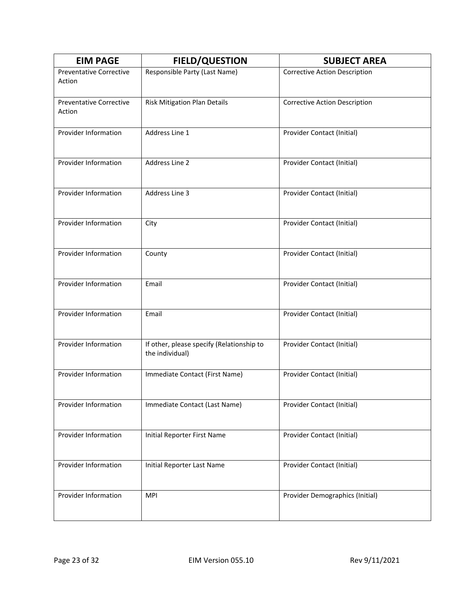| <b>EIM PAGE</b>                          | <b>FIELD/QUESTION</b>                                        | <b>SUBJECT AREA</b>                  |
|------------------------------------------|--------------------------------------------------------------|--------------------------------------|
| <b>Preventative Corrective</b><br>Action | Responsible Party (Last Name)                                | <b>Corrective Action Description</b> |
| <b>Preventative Corrective</b><br>Action | Risk Mitigation Plan Details                                 | <b>Corrective Action Description</b> |
| Provider Information                     | Address Line 1                                               | Provider Contact (Initial)           |
| Provider Information                     | Address Line 2                                               | Provider Contact (Initial)           |
| Provider Information                     | Address Line 3                                               | Provider Contact (Initial)           |
| Provider Information                     | City                                                         | Provider Contact (Initial)           |
| Provider Information                     | County                                                       | Provider Contact (Initial)           |
| Provider Information                     | Email                                                        | Provider Contact (Initial)           |
| Provider Information                     | Email                                                        | Provider Contact (Initial)           |
| Provider Information                     | If other, please specify (Relationship to<br>the individual) | Provider Contact (Initial)           |
| Provider Information                     | Immediate Contact (First Name)                               | Provider Contact (Initial)           |
| Provider Information                     | Immediate Contact (Last Name)                                | Provider Contact (Initial)           |
| Provider Information                     | Initial Reporter First Name                                  | Provider Contact (Initial)           |
| Provider Information                     | Initial Reporter Last Name                                   | Provider Contact (Initial)           |
| Provider Information                     | <b>MPI</b>                                                   | Provider Demographics (Initial)      |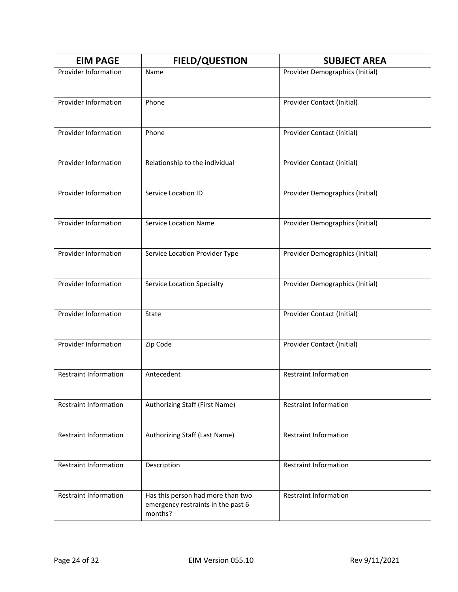| <b>EIM PAGE</b>              | <b>FIELD/QUESTION</b>                                                              | <b>SUBJECT AREA</b>             |
|------------------------------|------------------------------------------------------------------------------------|---------------------------------|
| Provider Information         | Name                                                                               | Provider Demographics (Initial) |
| Provider Information         | Phone                                                                              | Provider Contact (Initial)      |
| Provider Information         | Phone                                                                              | Provider Contact (Initial)      |
| Provider Information         | Relationship to the individual                                                     | Provider Contact (Initial)      |
| Provider Information         | Service Location ID                                                                | Provider Demographics (Initial) |
| Provider Information         | <b>Service Location Name</b>                                                       | Provider Demographics (Initial) |
| <b>Provider Information</b>  | Service Location Provider Type                                                     | Provider Demographics (Initial) |
| Provider Information         | <b>Service Location Specialty</b>                                                  | Provider Demographics (Initial) |
| Provider Information         | State                                                                              | Provider Contact (Initial)      |
| Provider Information         | Zip Code                                                                           | Provider Contact (Initial)      |
| <b>Restraint Information</b> | Antecedent                                                                         | <b>Restraint Information</b>    |
| <b>Restraint Information</b> | Authorizing Staff (First Name)                                                     | <b>Restraint Information</b>    |
| <b>Restraint Information</b> | Authorizing Staff (Last Name)                                                      | <b>Restraint Information</b>    |
| <b>Restraint Information</b> | Description                                                                        | <b>Restraint Information</b>    |
| <b>Restraint Information</b> | Has this person had more than two<br>emergency restraints in the past 6<br>months? | <b>Restraint Information</b>    |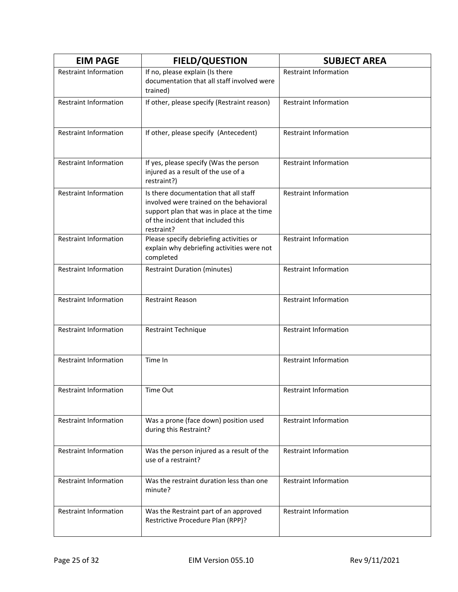| <b>EIM PAGE</b>              | <b>FIELD/QUESTION</b>                                                                                                                                                              | <b>SUBJECT AREA</b>          |
|------------------------------|------------------------------------------------------------------------------------------------------------------------------------------------------------------------------------|------------------------------|
| <b>Restraint Information</b> | If no, please explain (Is there<br>documentation that all staff involved were<br>trained)                                                                                          | <b>Restraint Information</b> |
| <b>Restraint Information</b> | If other, please specify (Restraint reason)                                                                                                                                        | <b>Restraint Information</b> |
| <b>Restraint Information</b> | If other, please specify (Antecedent)                                                                                                                                              | <b>Restraint Information</b> |
| <b>Restraint Information</b> | If yes, please specify (Was the person<br>injured as a result of the use of a<br>restraint?)                                                                                       | <b>Restraint Information</b> |
| <b>Restraint Information</b> | Is there documentation that all staff<br>involved were trained on the behavioral<br>support plan that was in place at the time<br>of the incident that included this<br>restraint? | Restraint Information        |
| <b>Restraint Information</b> | Please specify debriefing activities or<br>explain why debriefing activities were not<br>completed                                                                                 | <b>Restraint Information</b> |
| <b>Restraint Information</b> | <b>Restraint Duration (minutes)</b>                                                                                                                                                | <b>Restraint Information</b> |
| <b>Restraint Information</b> | <b>Restraint Reason</b>                                                                                                                                                            | <b>Restraint Information</b> |
| <b>Restraint Information</b> | <b>Restraint Technique</b>                                                                                                                                                         | <b>Restraint Information</b> |
| <b>Restraint Information</b> | Time In                                                                                                                                                                            | <b>Restraint Information</b> |
| Restraint Information        | Time Out                                                                                                                                                                           | Restraint Information        |
| Restraint Information        | Was a prone (face down) position used<br>during this Restraint?                                                                                                                    | <b>Restraint Information</b> |
| Restraint Information        | Was the person injured as a result of the<br>use of a restraint?                                                                                                                   | <b>Restraint Information</b> |
| <b>Restraint Information</b> | Was the restraint duration less than one<br>minute?                                                                                                                                | <b>Restraint Information</b> |
| <b>Restraint Information</b> | Was the Restraint part of an approved<br>Restrictive Procedure Plan (RPP)?                                                                                                         | <b>Restraint Information</b> |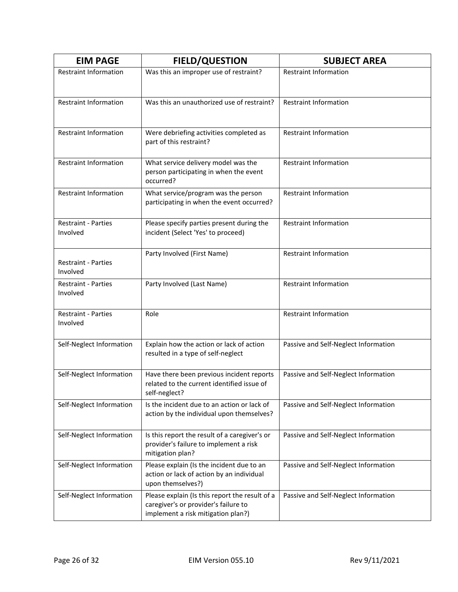| <b>EIM PAGE</b>                        | <b>FIELD/QUESTION</b>                                                                                                        | <b>SUBJECT AREA</b>                  |
|----------------------------------------|------------------------------------------------------------------------------------------------------------------------------|--------------------------------------|
| <b>Restraint Information</b>           | Was this an improper use of restraint?                                                                                       | <b>Restraint Information</b>         |
| <b>Restraint Information</b>           | Was this an unauthorized use of restraint?                                                                                   | <b>Restraint Information</b>         |
| Restraint Information                  | Were debriefing activities completed as<br>part of this restraint?                                                           | Restraint Information                |
| <b>Restraint Information</b>           | What service delivery model was the<br>person participating in when the event<br>occurred?                                   | <b>Restraint Information</b>         |
| <b>Restraint Information</b>           | What service/program was the person<br>participating in when the event occurred?                                             | <b>Restraint Information</b>         |
| <b>Restraint - Parties</b><br>Involved | Please specify parties present during the<br>incident (Select 'Yes' to proceed)                                              | <b>Restraint Information</b>         |
| <b>Restraint - Parties</b><br>Involved | Party Involved (First Name)                                                                                                  | <b>Restraint Information</b>         |
| <b>Restraint - Parties</b><br>Involved | Party Involved (Last Name)                                                                                                   | <b>Restraint Information</b>         |
| <b>Restraint - Parties</b><br>Involved | Role                                                                                                                         | <b>Restraint Information</b>         |
| Self-Neglect Information               | Explain how the action or lack of action<br>resulted in a type of self-neglect                                               | Passive and Self-Neglect Information |
| Self-Neglect Information               | Have there been previous incident reports<br>related to the current identified issue of<br>self-neglect?                     | Passive and Self-Neglect Information |
| Self-Neglect Information               | Is the incident due to an action or lack of<br>action by the individual upon themselves?                                     | Passive and Self-Neglect Information |
| Self-Neglect Information               | Is this report the result of a caregiver's or<br>provider's failure to implement a risk<br>mitigation plan?                  | Passive and Self-Neglect Information |
| Self-Neglect Information               | Please explain (Is the incident due to an<br>action or lack of action by an individual<br>upon themselves?)                  | Passive and Self-Neglect Information |
| Self-Neglect Information               | Please explain (Is this report the result of a<br>caregiver's or provider's failure to<br>implement a risk mitigation plan?) | Passive and Self-Neglect Information |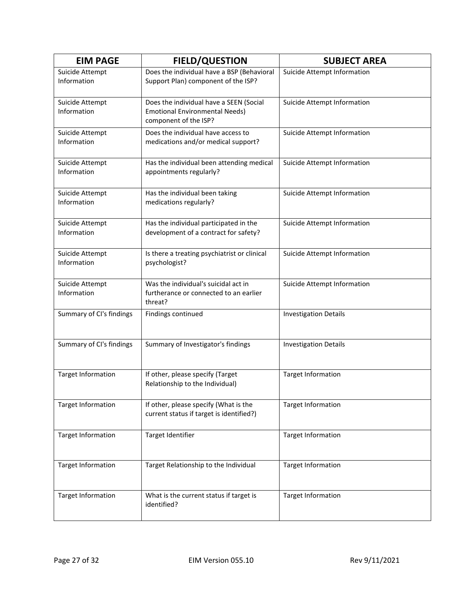| <b>EIM PAGE</b>                | <b>FIELD/QUESTION</b>                                                                                     | <b>SUBJECT AREA</b>          |
|--------------------------------|-----------------------------------------------------------------------------------------------------------|------------------------------|
| Suicide Attempt<br>Information | Does the individual have a BSP (Behavioral<br>Support Plan) component of the ISP?                         | Suicide Attempt Information  |
| Suicide Attempt<br>Information | Does the individual have a SEEN (Social<br><b>Emotional Environmental Needs)</b><br>component of the ISP? | Suicide Attempt Information  |
| Suicide Attempt<br>Information | Does the individual have access to<br>medications and/or medical support?                                 | Suicide Attempt Information  |
| Suicide Attempt<br>Information | Has the individual been attending medical<br>appointments regularly?                                      | Suicide Attempt Information  |
| Suicide Attempt<br>Information | Has the individual been taking<br>medications regularly?                                                  | Suicide Attempt Information  |
| Suicide Attempt<br>Information | Has the individual participated in the<br>development of a contract for safety?                           | Suicide Attempt Information  |
| Suicide Attempt<br>Information | Is there a treating psychiatrist or clinical<br>psychologist?                                             | Suicide Attempt Information  |
| Suicide Attempt<br>Information | Was the individual's suicidal act in<br>furtherance or connected to an earlier<br>threat?                 | Suicide Attempt Information  |
| Summary of CI's findings       | Findings continued                                                                                        | <b>Investigation Details</b> |
| Summary of CI's findings       | Summary of Investigator's findings                                                                        | <b>Investigation Details</b> |
| <b>Target Information</b>      | If other, please specify (Target<br>Relationship to the Individual)                                       | <b>Target Information</b>    |
| <b>Target Information</b>      | If other, please specify (What is the<br>current status if target is identified?)                         | <b>Target Information</b>    |
| <b>Target Information</b>      | Target Identifier                                                                                         | <b>Target Information</b>    |
| <b>Target Information</b>      | Target Relationship to the Individual                                                                     | <b>Target Information</b>    |
| <b>Target Information</b>      | What is the current status if target is<br>identified?                                                    | <b>Target Information</b>    |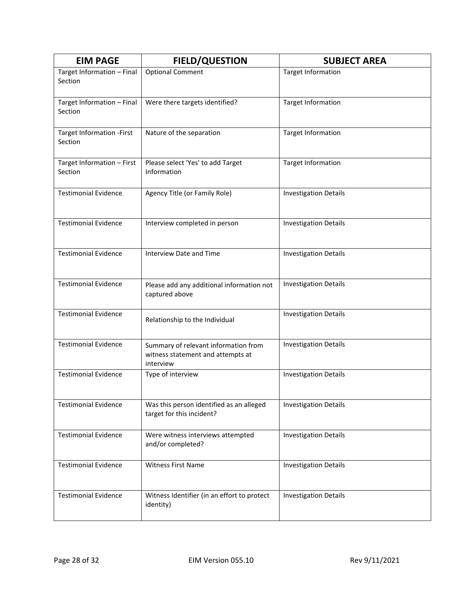| <b>EIM PAGE</b>                       | <b>FIELD/QUESTION</b>                                                                  | <b>SUBJECT AREA</b>          |
|---------------------------------------|----------------------------------------------------------------------------------------|------------------------------|
| Target Information - Final<br>Section | <b>Optional Comment</b>                                                                | <b>Target Information</b>    |
| Target Information - Final<br>Section | Were there targets identified?                                                         | <b>Target Information</b>    |
| Target Information - First<br>Section | Nature of the separation                                                               | <b>Target Information</b>    |
| Target Information - First<br>Section | Please select 'Yes' to add Target<br>Information                                       | <b>Target Information</b>    |
| <b>Testimonial Evidence</b>           | Agency Title (or Family Role)                                                          | <b>Investigation Details</b> |
| <b>Testimonial Evidence</b>           | Interview completed in person                                                          | <b>Investigation Details</b> |
| <b>Testimonial Evidence</b>           | Interview Date and Time                                                                | <b>Investigation Details</b> |
| <b>Testimonial Evidence</b>           | Please add any additional information not<br>captured above                            | <b>Investigation Details</b> |
| <b>Testimonial Evidence</b>           | Relationship to the Individual                                                         | <b>Investigation Details</b> |
| <b>Testimonial Evidence</b>           | Summary of relevant information from<br>witness statement and attempts at<br>interview | <b>Investigation Details</b> |
| <b>Testimonial Evidence</b>           | Type of interview                                                                      | <b>Investigation Details</b> |
| <b>Testimonial Evidence</b>           | Was this person identified as an alleged<br>target for this incident?                  | <b>Investigation Details</b> |
| <b>Testimonial Evidence</b>           | Were witness interviews attempted<br>and/or completed?                                 | <b>Investigation Details</b> |
| <b>Testimonial Evidence</b>           | <b>Witness First Name</b>                                                              | <b>Investigation Details</b> |
| <b>Testimonial Evidence</b>           | Witness Identifier (in an effort to protect<br>identity)                               | <b>Investigation Details</b> |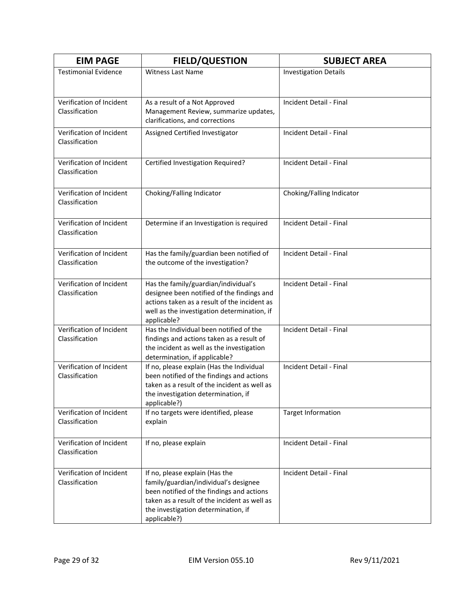| <b>EIM PAGE</b>                            | <b>FIELD/QUESTION</b>                                                                                                                                                                                                       | <b>SUBJECT AREA</b>            |
|--------------------------------------------|-----------------------------------------------------------------------------------------------------------------------------------------------------------------------------------------------------------------------------|--------------------------------|
| <b>Testimonial Evidence</b>                | Witness Last Name                                                                                                                                                                                                           | <b>Investigation Details</b>   |
| Verification of Incident<br>Classification | As a result of a Not Approved<br>Management Review, summarize updates,<br>clarifications, and corrections                                                                                                                   | Incident Detail - Final        |
| Verification of Incident<br>Classification | Assigned Certified Investigator                                                                                                                                                                                             | Incident Detail - Final        |
| Verification of Incident<br>Classification | Certified Investigation Required?                                                                                                                                                                                           | Incident Detail - Final        |
| Verification of Incident<br>Classification | Choking/Falling Indicator                                                                                                                                                                                                   | Choking/Falling Indicator      |
| Verification of Incident<br>Classification | Determine if an Investigation is required                                                                                                                                                                                   | Incident Detail - Final        |
| Verification of Incident<br>Classification | Has the family/guardian been notified of<br>the outcome of the investigation?                                                                                                                                               | <b>Incident Detail - Final</b> |
| Verification of Incident<br>Classification | Has the family/guardian/individual's<br>designee been notified of the findings and<br>actions taken as a result of the incident as<br>well as the investigation determination, if<br>applicable?                            | Incident Detail - Final        |
| Verification of Incident<br>Classification | Has the Individual been notified of the<br>findings and actions taken as a result of<br>the incident as well as the investigation<br>determination, if applicable?                                                          | Incident Detail - Final        |
| Verification of Incident<br>Classification | If no, please explain (Has the Individual<br>been notified of the findings and actions<br>taken as a result of the incident as well as<br>the investigation determination, if<br>applicable?)                               | Incident Detail - Final        |
| Verification of Incident<br>Classification | If no targets were identified, please<br>explain                                                                                                                                                                            | <b>Target Information</b>      |
| Verification of Incident<br>Classification | If no, please explain                                                                                                                                                                                                       | Incident Detail - Final        |
| Verification of Incident<br>Classification | If no, please explain (Has the<br>family/guardian/individual's designee<br>been notified of the findings and actions<br>taken as a result of the incident as well as<br>the investigation determination, if<br>applicable?) | Incident Detail - Final        |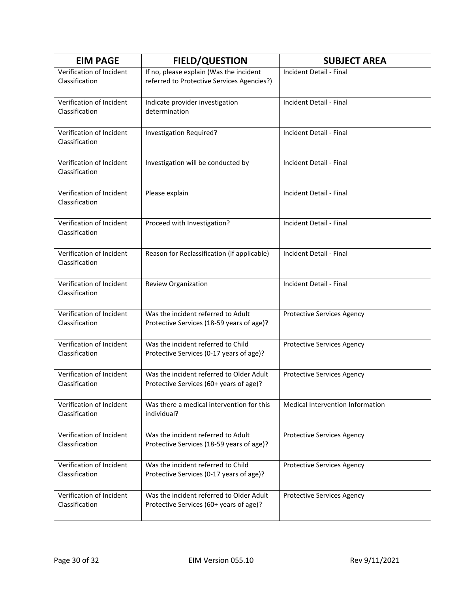| <b>EIM PAGE</b>                            | <b>FIELD/QUESTION</b>                                                                 | <b>SUBJECT AREA</b>               |
|--------------------------------------------|---------------------------------------------------------------------------------------|-----------------------------------|
| Verification of Incident<br>Classification | If no, please explain (Was the incident<br>referred to Protective Services Agencies?) | Incident Detail - Final           |
| Verification of Incident<br>Classification | Indicate provider investigation<br>determination                                      | Incident Detail - Final           |
| Verification of Incident<br>Classification | Investigation Required?                                                               | Incident Detail - Final           |
| Verification of Incident<br>Classification | Investigation will be conducted by                                                    | Incident Detail - Final           |
| Verification of Incident<br>Classification | Please explain                                                                        | Incident Detail - Final           |
| Verification of Incident<br>Classification | Proceed with Investigation?                                                           | Incident Detail - Final           |
| Verification of Incident<br>Classification | Reason for Reclassification (if applicable)                                           | Incident Detail - Final           |
| Verification of Incident<br>Classification | <b>Review Organization</b>                                                            | Incident Detail - Final           |
| Verification of Incident<br>Classification | Was the incident referred to Adult<br>Protective Services (18-59 years of age)?       | <b>Protective Services Agency</b> |
| Verification of Incident<br>Classification | Was the incident referred to Child<br>Protective Services (0-17 years of age)?        | <b>Protective Services Agency</b> |
| Verification of Incident<br>Classification | Was the incident referred to Older Adult<br>Protective Services (60+ years of age)?   | <b>Protective Services Agency</b> |
| Verification of Incident<br>Classification | Was there a medical intervention for this<br>individual?                              | Medical Intervention Information  |
| Verification of Incident<br>Classification | Was the incident referred to Adult<br>Protective Services (18-59 years of age)?       | <b>Protective Services Agency</b> |
| Verification of Incident<br>Classification | Was the incident referred to Child<br>Protective Services (0-17 years of age)?        | <b>Protective Services Agency</b> |
| Verification of Incident<br>Classification | Was the incident referred to Older Adult<br>Protective Services (60+ years of age)?   | <b>Protective Services Agency</b> |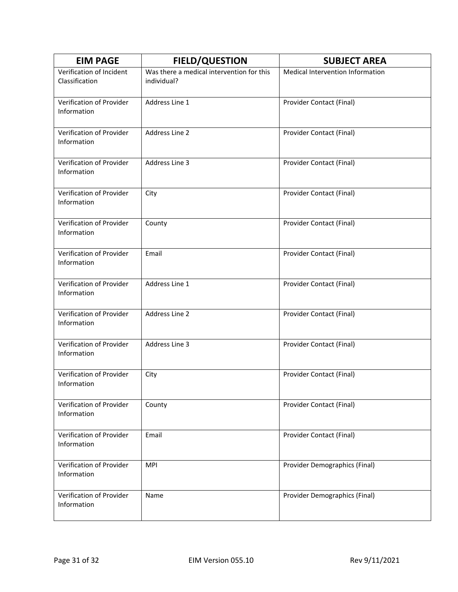| <b>EIM PAGE</b>                            | <b>FIELD/QUESTION</b>                                    | <b>SUBJECT AREA</b>              |
|--------------------------------------------|----------------------------------------------------------|----------------------------------|
| Verification of Incident<br>Classification | Was there a medical intervention for this<br>individual? | Medical Intervention Information |
| Verification of Provider<br>Information    | Address Line 1                                           | Provider Contact (Final)         |
| Verification of Provider<br>Information    | Address Line 2                                           | Provider Contact (Final)         |
| Verification of Provider<br>Information    | Address Line 3                                           | Provider Contact (Final)         |
| Verification of Provider<br>Information    | City                                                     | Provider Contact (Final)         |
| Verification of Provider<br>Information    | County                                                   | Provider Contact (Final)         |
| Verification of Provider<br>Information    | Email                                                    | Provider Contact (Final)         |
| Verification of Provider<br>Information    | Address Line 1                                           | Provider Contact (Final)         |
| Verification of Provider<br>Information    | Address Line 2                                           | Provider Contact (Final)         |
| Verification of Provider<br>Information    | Address Line 3                                           | Provider Contact (Final)         |
| Verification of Provider<br>Information    | City                                                     | Provider Contact (Final)         |
| Verification of Provider<br>Information    | County                                                   | Provider Contact (Final)         |
| Verification of Provider<br>Information    | Email                                                    | Provider Contact (Final)         |
| Verification of Provider<br>Information    | <b>MPI</b>                                               | Provider Demographics (Final)    |
| Verification of Provider<br>Information    | Name                                                     | Provider Demographics (Final)    |